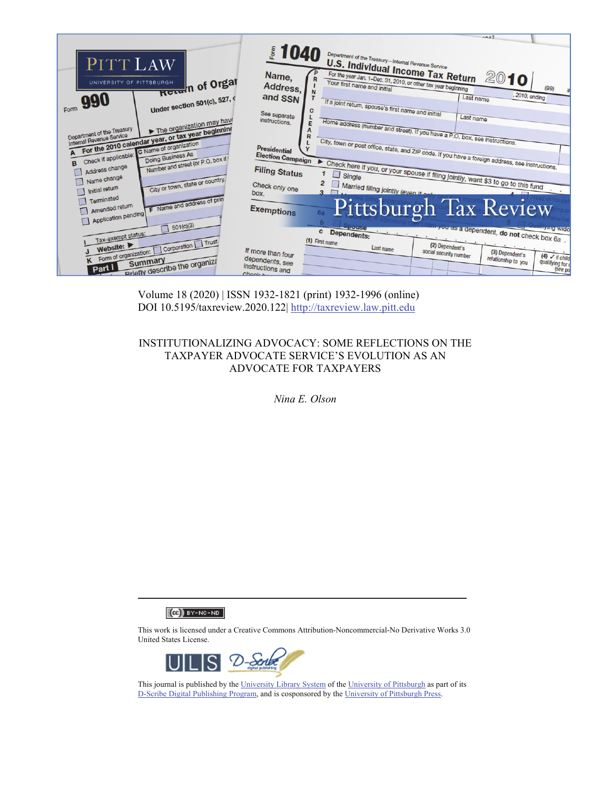

Volume 18 (2020) | ISSN 1932-1821 (print) 1932-1996 (online) DOI 10.5195/taxreview.2020.122| http://taxreview.law.pitt.edu

# INSTITUTIONALIZING ADVOCACY: SOME REFLECTIONS ON THE TAXPAYER ADVOCATE SERVICE'S EVOLUTION AS AN ADVOCATE FOR TAXPAYERS

*Nina E. Olson* 

 $(Ce)$  BY-NC-ND

This work is licensed under a Creative Commons Attribution-Noncommercial-No Derivative Works 3.0 United States License.



This journal is published by the University Library System of the University of Pittsburgh as part of its D-Scribe Digital Publishing Program, and is cosponsored by the University of Pittsburgh Press.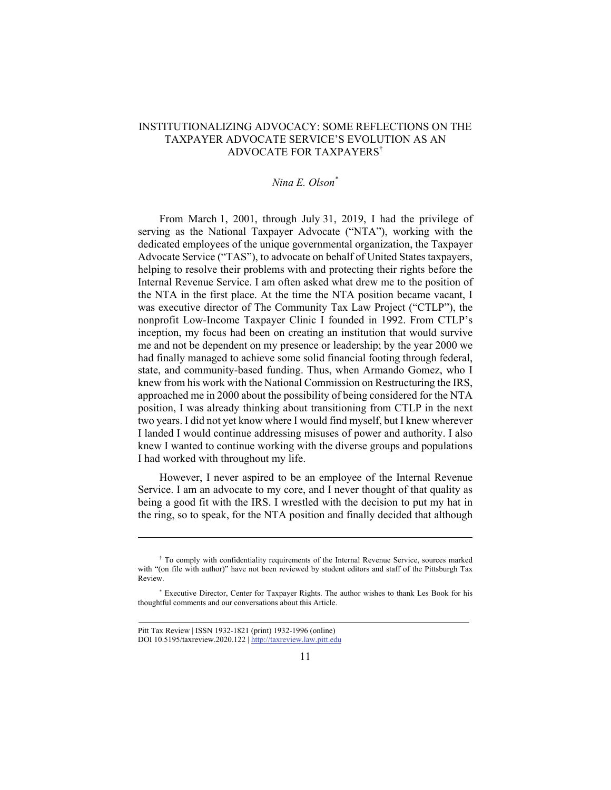## INSTITUTIONALIZING ADVOCACY: SOME REFLECTIONS ON THE TAXPAYER ADVOCATE SERVICE'S EVOLUTION AS AN ADVOCATE FOR TAXPAYERS†

## *Nina E. Olson\**

From March 1, 2001, through July 31, 2019, I had the privilege of serving as the National Taxpayer Advocate ("NTA"), working with the dedicated employees of the unique governmental organization, the Taxpayer Advocate Service ("TAS"), to advocate on behalf of United States taxpayers, helping to resolve their problems with and protecting their rights before the Internal Revenue Service. I am often asked what drew me to the position of the NTA in the first place. At the time the NTA position became vacant, I was executive director of The Community Tax Law Project ("CTLP"), the nonprofit Low-Income Taxpayer Clinic I founded in 1992. From CTLP's inception, my focus had been on creating an institution that would survive me and not be dependent on my presence or leadership; by the year 2000 we had finally managed to achieve some solid financial footing through federal, state, and community-based funding. Thus, when Armando Gomez, who I knew from his work with the National Commission on Restructuring the IRS, approached me in 2000 about the possibility of being considered for the NTA position, I was already thinking about transitioning from CTLP in the next two years. I did not yet know where I would find myself, but I knew wherever I landed I would continue addressing misuses of power and authority. I also knew I wanted to continue working with the diverse groups and populations I had worked with throughout my life.

However, I never aspired to be an employee of the Internal Revenue Service. I am an advocate to my core, and I never thought of that quality as being a good fit with the IRS. I wrestled with the decision to put my hat in the ring, so to speak, for the NTA position and finally decided that although

<sup>†</sup> To comply with confidentiality requirements of the Internal Revenue Service, sources marked with "(on file with author)" have not been reviewed by student editors and staff of the Pittsburgh Tax Review.

<sup>\*</sup> Executive Director, Center for Taxpayer Rights. The author wishes to thank Les Book for his thoughtful comments and our conversations about this Article.

Pitt Tax Review | ISSN 1932-1821 (print) 1932-1996 (online) DOI 10.5195/taxreview.2020.122 | http://taxreview.law.pitt.edu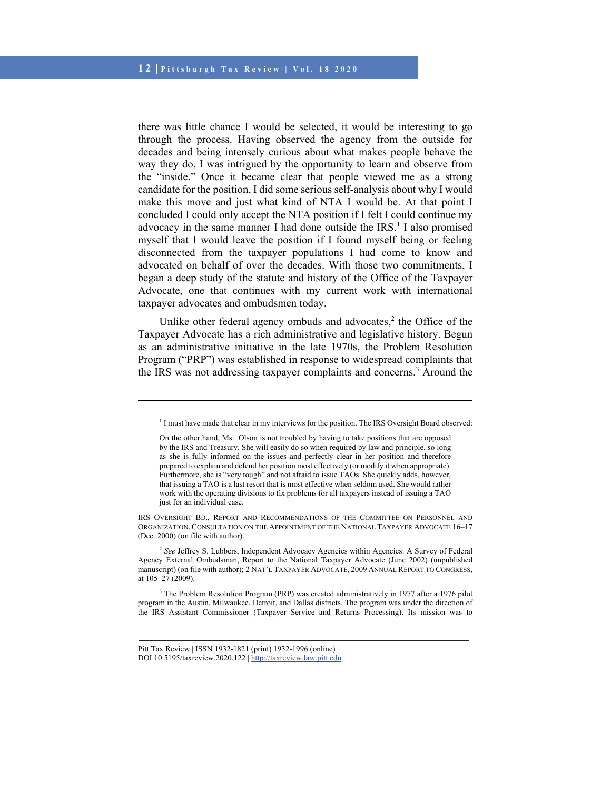there was little chance I would be selected, it would be interesting to go through the process. Having observed the agency from the outside for decades and being intensely curious about what makes people behave the way they do, I was intrigued by the opportunity to learn and observe from the "inside." Once it became clear that people viewed me as a strong candidate for the position, I did some serious self-analysis about why I would make this move and just what kind of NTA I would be. At that point I concluded I could only accept the NTA position if I felt I could continue my advocacy in the same manner I had done outside the IRS.<sup>1</sup> I also promised myself that I would leave the position if I found myself being or feeling disconnected from the taxpayer populations I had come to know and advocated on behalf of over the decades. With those two commitments, I began a deep study of the statute and history of the Office of the Taxpayer Advocate, one that continues with my current work with international taxpayer advocates and ombudsmen today.

Unlike other federal agency ombuds and advocates, $2$  the Office of the Taxpayer Advocate has a rich administrative and legislative history. Begun as an administrative initiative in the late 1970s, the Problem Resolution Program ("PRP") was established in response to widespread complaints that the IRS was not addressing taxpayer complaints and concerns.<sup>3</sup> Around the

IRS OVERSIGHT BD., REPORT AND RECOMMENDATIONS OF THE COMMITTEE ON PERSONNEL AND ORGANIZATION, CONSULTATION ON THE APPOINTMENT OF THE NATIONAL TAXPAYER ADVOCATE 16*–*17 (Dec. 2000) (on file with author).

<sup>2</sup> *See* Jeffrey S. Lubbers, Independent Advocacy Agencies within Agencies: A Survey of Federal Agency External Ombudsman, Report to the National Taxpayer Advocate (June 2002) (unpublished manuscript) (on file with author); 2 NAT'L TAXPAYER ADVOCATE, 2009 ANNUAL REPORT TO CONGRESS, at 105–27 (2009).

<sup>3</sup> The Problem Resolution Program (PRP) was created administratively in 1977 after a 1976 pilot program in the Austin, Milwaukee, Detroit, and Dallas districts. The program was under the direction of the IRS Assistant Commissioner (Taxpayer Service and Returns Processing). Its mission was to

<sup>&</sup>lt;sup>1</sup> I must have made that clear in my interviews for the position. The IRS Oversight Board observed:

On the other hand, Ms. Olson is not troubled by having to take positions that are opposed by the IRS and Treasury. She will easily do so when required by law and principle, so long as she is fully informed on the issues and perfectly clear in her position and therefore prepared to explain and defend her position most effectively (or modify it when appropriate). Furthermore, she is "very tough" and not afraid to issue TAOs. She quickly adds, however, that issuing a TAO is a last resort that is most effective when seldom used. She would rather work with the operating divisions to fix problems for all taxpayers instead of issuing a TAO just for an individual case.

Pitt Tax Review | ISSN 1932-1821 (print) 1932-1996 (online) DOI 10.5195/taxreview.2020.122 | http://taxreview.law.pitt.edu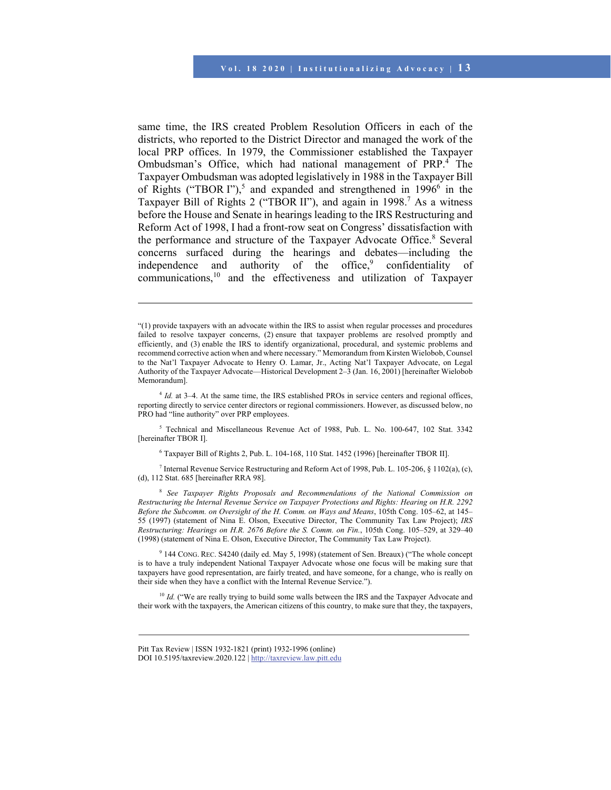same time, the IRS created Problem Resolution Officers in each of the districts, who reported to the District Director and managed the work of the local PRP offices. In 1979, the Commissioner established the Taxpayer Ombudsman's Office, which had national management of PRP.<sup>4</sup> The Taxpayer Ombudsman was adopted legislatively in 1988 in the Taxpayer Bill of Rights ("TBOR I"),<sup>5</sup> and expanded and strengthened in  $1996^6$  in the Taxpayer Bill of Rights 2 ("TBOR II"), and again in 1998.<sup>7</sup> As a witness before the House and Senate in hearings leading to the IRS Restructuring and Reform Act of 1998, I had a front-row seat on Congress' dissatisfaction with the performance and structure of the Taxpayer Advocate Office.<sup>8</sup> Several concerns surfaced during the hearings and debates—including the independence and authority of the office,<sup>9</sup> confidentiality of communications,10 and the effectiveness and utilization of Taxpayer

5 Technical and Miscellaneous Revenue Act of 1988, Pub. L. No. 100-647, 102 Stat. 3342 [hereinafter TBOR I].

6 Taxpayer Bill of Rights 2, Pub. L. 104-168, 110 Stat. 1452 (1996) [hereinafter TBOR II].

Internal Revenue Service Restructuring and Reform Act of 1998, Pub. L. 105-206, § 1102(a), (c), (d), 112 Stat. 685 [hereinafter RRA 98].

<sup>8</sup> *See Taxpayer Rights Proposals and Recommendations of the National Commission on Restructuring the Internal Revenue Service on Taxpayer Protections and Rights: Hearing on H.R. 2292 Before the Subcomm. on Oversight of the H. Comm. on Ways and Means*, 105th Cong. 105–62, at 145– 55 (1997) (statement of Nina E. Olson, Executive Director, The Community Tax Law Project); *IRS Restructuring: Hearings on H.R. 2676 Before the S. Comm. on Fin., 105th Cong. 105–529, at 329–40* (1998) (statement of Nina E. Olson, Executive Director, The Community Tax Law Project).

9 144 CONG. REC. S4240 (daily ed. May 5, 1998) (statement of Sen. Breaux) ("The whole concept is to have a truly independent National Taxpayer Advocate whose one focus will be making sure that taxpayers have good representation, are fairly treated, and have someone, for a change, who is really on their side when they have a conflict with the Internal Revenue Service.").

<sup>10</sup> *Id.* ("We are really trying to build some walls between the IRS and the Taxpayer Advocate and their work with the taxpayers, the American citizens of this country, to make sure that they, the taxpayers,

<sup>&</sup>quot;(1) provide taxpayers with an advocate within the IRS to assist when regular processes and procedures failed to resolve taxpayer concerns, (2) ensure that taxpayer problems are resolved promptly and efficiently, and (3) enable the IRS to identify organizational, procedural, and systemic problems and recommend corrective action when and where necessary." Memorandum from Kirsten Wielobob, Counsel to the Nat'l Taxpayer Advocate to Henry O. Lamar, Jr., Acting Nat'l Taxpayer Advocate, on Legal Authority of the Taxpayer Advocate—Historical Development 2–3 (Jan. 16, 2001) [hereinafter Wielobob Memorandum].

<sup>&</sup>lt;sup>4</sup> *Id.* at 3–4. At the same time, the IRS established PROs in service centers and regional offices, reporting directly to service center directors or regional commissioners. However, as discussed below, no PRO had "line authority" over PRP employees.

Pitt Tax Review | ISSN 1932-1821 (print) 1932-1996 (online) DOI 10.5195/taxreview.2020.122 | http://taxreview.law.pitt.edu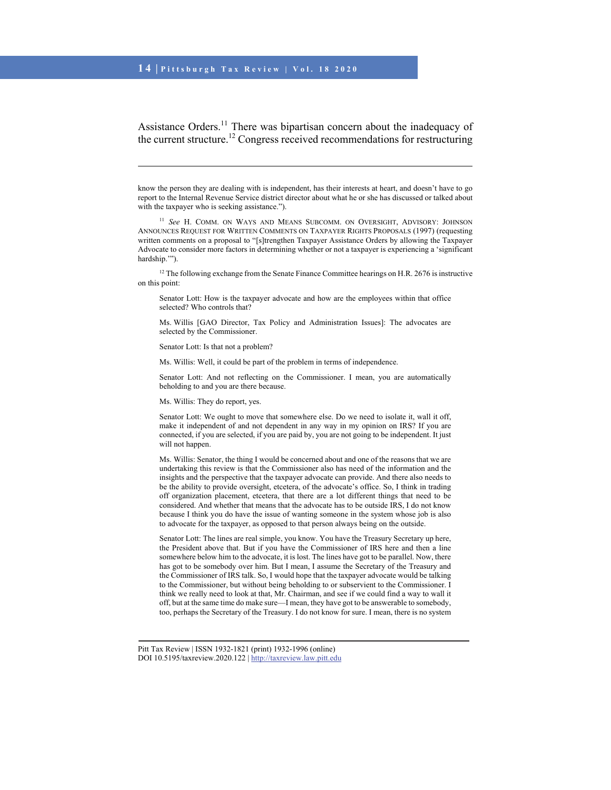Assistance Orders.<sup>11</sup> There was bipartisan concern about the inadequacy of the current structure.<sup>12</sup> Congress received recommendations for restructuring

know the person they are dealing with is independent, has their interests at heart, and doesn't have to go report to the Internal Revenue Service district director about what he or she has discussed or talked about with the taxpayer who is seeking assistance.").

<sup>11</sup> See H. COMM. ON WAYS AND MEANS SUBCOMM. ON OVERSIGHT, ADVISORY: JOHNSON ANNOUNCES REQUEST FOR WRITTEN COMMENTS ON TAXPAYER RIGHTS PROPOSALS (1997) (requesting written comments on a proposal to "[s]trengthen Taxpayer Assistance Orders by allowing the Taxpayer Advocate to consider more factors in determining whether or not a taxpayer is experiencing a 'significant hardship.'").

<sup>12</sup> The following exchange from the Senate Finance Committee hearings on H.R. 2676 is instructive on this point:

Senator Lott: How is the taxpayer advocate and how are the employees within that office selected? Who controls that?

Ms. Willis [GAO Director, Tax Policy and Administration Issues]: The advocates are selected by the Commissioner.

Senator Lott: Is that not a problem?

l

Ms. Willis: Well, it could be part of the problem in terms of independence.

Senator Lott: And not reflecting on the Commissioner. I mean, you are automatically beholding to and you are there because.

Ms. Willis: They do report, yes.

Senator Lott: We ought to move that somewhere else. Do we need to isolate it, wall it off, make it independent of and not dependent in any way in my opinion on IRS? If you are connected, if you are selected, if you are paid by, you are not going to be independent. It just will not happen.

Ms. Willis: Senator, the thing I would be concerned about and one of the reasons that we are undertaking this review is that the Commissioner also has need of the information and the insights and the perspective that the taxpayer advocate can provide. And there also needs to be the ability to provide oversight, etcetera, of the advocate's office. So, I think in trading off organization placement, etcetera, that there are a lot different things that need to be considered. And whether that means that the advocate has to be outside IRS, I do not know because I think you do have the issue of wanting someone in the system whose job is also to advocate for the taxpayer, as opposed to that person always being on the outside.

Senator Lott: The lines are real simple, you know. You have the Treasury Secretary up here, the President above that. But if you have the Commissioner of IRS here and then a line somewhere below him to the advocate, it is lost. The lines have got to be parallel. Now, there has got to be somebody over him. But I mean, I assume the Secretary of the Treasury and the Commissioner of IRS talk. So, I would hope that the taxpayer advocate would be talking to the Commissioner, but without being beholding to or subservient to the Commissioner. I think we really need to look at that, Mr. Chairman, and see if we could find a way to wall it off, but at the same time do make sure—I mean, they have got to be answerable to somebody, too, perhaps the Secretary of the Treasury. I do not know for sure. I mean, there is no system

Pitt Tax Review | ISSN 1932-1821 (print) 1932-1996 (online) DOI 10.5195/taxreview.2020.122 | http://taxreview.law.pitt.edu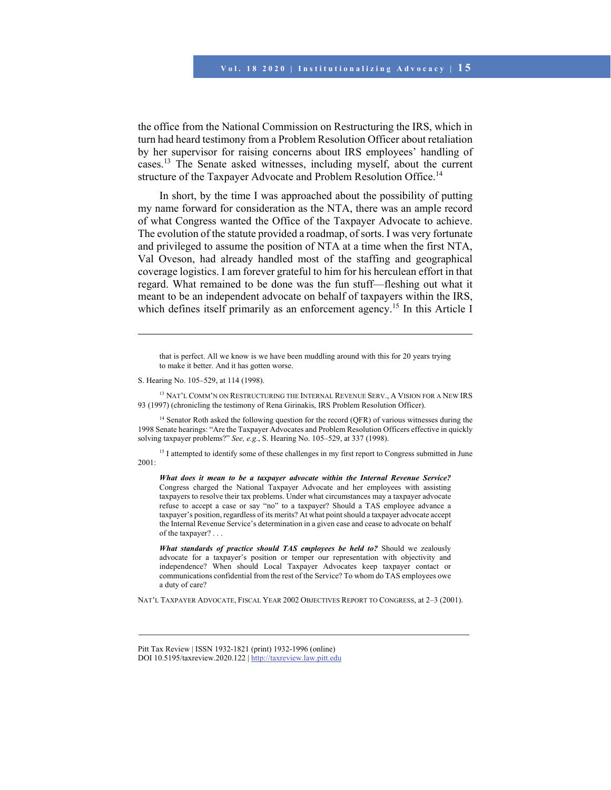the office from the National Commission on Restructuring the IRS, which in turn had heard testimony from a Problem Resolution Officer about retaliation by her supervisor for raising concerns about IRS employees' handling of cases.13 The Senate asked witnesses, including myself, about the current structure of the Taxpayer Advocate and Problem Resolution Office.<sup>14</sup>

In short, by the time I was approached about the possibility of putting my name forward for consideration as the NTA, there was an ample record of what Congress wanted the Office of the Taxpayer Advocate to achieve. The evolution of the statute provided a roadmap, of sorts. I was very fortunate and privileged to assume the position of NTA at a time when the first NTA, Val Oveson, had already handled most of the staffing and geographical coverage logistics. I am forever grateful to him for his herculean effort in that regard. What remained to be done was the fun stuff—fleshing out what it meant to be an independent advocate on behalf of taxpayers within the IRS, which defines itself primarily as an enforcement agency.<sup>15</sup> In this Article I

that is perfect. All we know is we have been muddling around with this for 20 years trying to make it better. And it has gotten worse.

S. Hearing No. 105–529, at 114 (1998).

l

<sup>13</sup> NAT'L COMM'N ON RESTRUCTURING THE INTERNAL REVENUE SERV., A VISION FOR A NEW IRS 93 (1997) (chronicling the testimony of Rena Girinakis, IRS Problem Resolution Officer).

<sup>14</sup> Senator Roth asked the following question for the record (QFR) of various witnesses during the 1998 Senate hearings: "Are the Taxpayer Advocates and Problem Resolution Officers effective in quickly solving taxpayer problems?" *See, e.g.*, S. Hearing No. 105–529, at 337 (1998).

<sup>15</sup> I attempted to identify some of these challenges in my first report to Congress submitted in June 2001:

*What does it mean to be a taxpayer advocate within the Internal Revenue Service?* Congress charged the National Taxpayer Advocate and her employees with assisting taxpayers to resolve their tax problems. Under what circumstances may a taxpayer advocate refuse to accept a case or say "no" to a taxpayer? Should a TAS employee advance a taxpayer's position, regardless of its merits? At what point should a taxpayer advocate accept the Internal Revenue Service's determination in a given case and cease to advocate on behalf of the taxpayer? . . .

*What standards of practice should TAS employees be held to?* Should we zealously advocate for a taxpayer's position or temper our representation with objectivity and independence? When should Local Taxpayer Advocates keep taxpayer contact or communications confidential from the rest of the Service? To whom do TAS employees owe a duty of care?

NAT'L TAXPAYER ADVOCATE, FISCAL YEAR 2002 OBJECTIVES REPORT TO CONGRESS, at 2–3 (2001).

Pitt Tax Review | ISSN 1932-1821 (print) 1932-1996 (online) DOI 10.5195/taxreview.2020.122 | http://taxreview.law.pitt.edu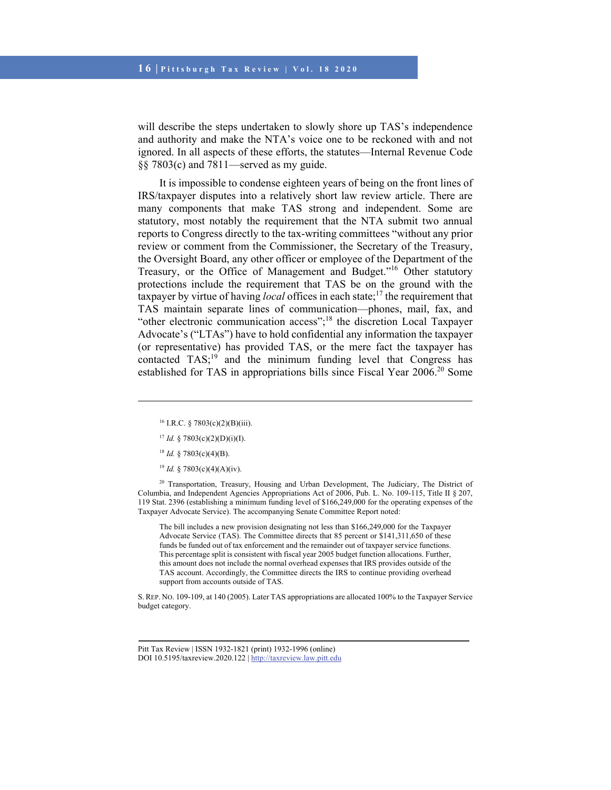will describe the steps undertaken to slowly shore up TAS's independence and authority and make the NTA's voice one to be reckoned with and not ignored. In all aspects of these efforts, the statutes—Internal Revenue Code §§ 7803(c) and 7811—served as my guide.

It is impossible to condense eighteen years of being on the front lines of IRS/taxpayer disputes into a relatively short law review article. There are many components that make TAS strong and independent. Some are statutory, most notably the requirement that the NTA submit two annual reports to Congress directly to the tax-writing committees "without any prior review or comment from the Commissioner, the Secretary of the Treasury, the Oversight Board, any other officer or employee of the Department of the Treasury, or the Office of Management and Budget."16 Other statutory protections include the requirement that TAS be on the ground with the taxpayer by virtue of having *local* offices in each state;17 the requirement that TAS maintain separate lines of communication—phones, mail, fax, and "other electronic communication access";18 the discretion Local Taxpayer Advocate's ("LTAs") have to hold confidential any information the taxpayer (or representative) has provided TAS, or the mere fact the taxpayer has contacted  $TAS$ <sup>19</sup> and the minimum funding level that Congress has established for TAS in appropriations bills since Fiscal Year 2006.<sup>20</sup> Some

 $18$  *Id.* § 7803(c)(4)(B).

l

<sup>19</sup> *Id.* § 7803(c)(4)(A)(iv).

<sup>20</sup> Transportation, Treasury, Housing and Urban Development, The Judiciary, The District of Columbia, and Independent Agencies Appropriations Act of 2006, Pub. L. No. 109-115, Title II § 207, 119 Stat. 2396 (establishing a minimum funding level of \$166,249,000 for the operating expenses of the Taxpayer Advocate Service). The accompanying Senate Committee Report noted:

The bill includes a new provision designating not less than \$166,249,000 for the Taxpayer Advocate Service (TAS). The Committee directs that 85 percent or \$141,311,650 of these funds be funded out of tax enforcement and the remainder out of taxpayer service functions. This percentage split is consistent with fiscal year 2005 budget function allocations. Further, this amount does not include the normal overhead expenses that IRS provides outside of the TAS account. Accordingly, the Committee directs the IRS to continue providing overhead support from accounts outside of TAS.

S. REP. NO. 109-109, at 140 (2005). Later TAS appropriations are allocated 100% to the Taxpayer Service budget category.

<sup>&</sup>lt;sup>16</sup> I.R.C. § 7803(c)(2)(B)(iii).

<sup>&</sup>lt;sup>17</sup> *Id.* § 7803(c)(2)(D)(i)(I).

Pitt Tax Review | ISSN 1932-1821 (print) 1932-1996 (online) DOI 10.5195/taxreview.2020.122 | http://taxreview.law.pitt.edu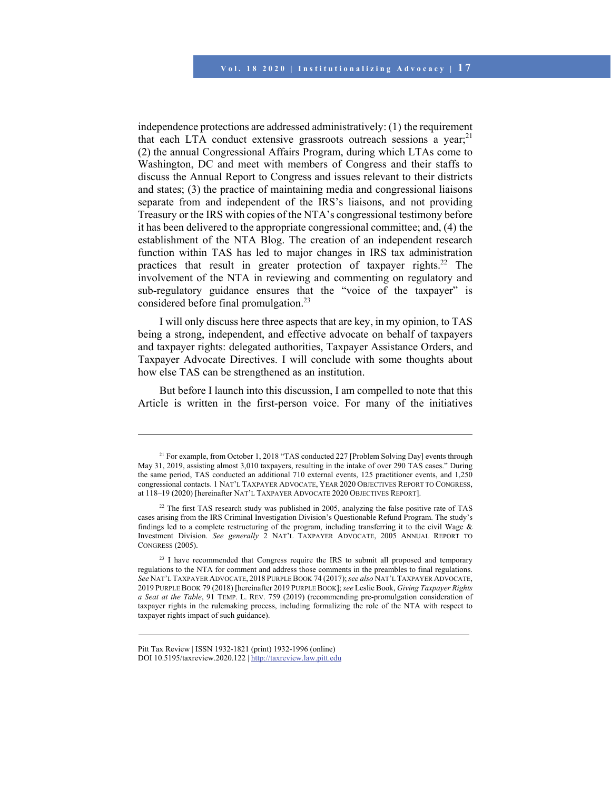independence protections are addressed administratively: (1) the requirement that each LTA conduct extensive grassroots outreach sessions a year; $^{21}$ (2) the annual Congressional Affairs Program, during which LTAs come to Washington, DC and meet with members of Congress and their staffs to discuss the Annual Report to Congress and issues relevant to their districts and states; (3) the practice of maintaining media and congressional liaisons separate from and independent of the IRS's liaisons, and not providing Treasury or the IRS with copies of the NTA's congressional testimony before it has been delivered to the appropriate congressional committee; and, (4) the establishment of the NTA Blog. The creation of an independent research function within TAS has led to major changes in IRS tax administration practices that result in greater protection of taxpayer rights.<sup>22</sup> The involvement of the NTA in reviewing and commenting on regulatory and sub-regulatory guidance ensures that the "voice of the taxpayer" is considered before final promulgation.<sup>23</sup>

I will only discuss here three aspects that are key, in my opinion, to TAS being a strong, independent, and effective advocate on behalf of taxpayers and taxpayer rights: delegated authorities, Taxpayer Assistance Orders, and Taxpayer Advocate Directives. I will conclude with some thoughts about how else TAS can be strengthened as an institution.

But before I launch into this discussion, I am compelled to note that this Article is written in the first-person voice. For many of the initiatives

 $\overline{a}$ 

<sup>&</sup>lt;sup>21</sup> For example, from October 1, 2018 "TAS conducted 227 [Problem Solving Day] events through May 31, 2019, assisting almost 3,010 taxpayers, resulting in the intake of over 290 TAS cases." During the same period, TAS conducted an additional 710 external events, 125 practitioner events, and 1,250 congressional contacts. 1 NAT'L TAXPAYER ADVOCATE, YEAR 2020 OBJECTIVES REPORT TO CONGRESS, at 118–19 (2020) [hereinafter NAT'L TAXPAYER ADVOCATE 2020 OBJECTIVES REPORT].

 $22$  The first TAS research study was published in 2005, analyzing the false positive rate of TAS cases arising from the IRS Criminal Investigation Division's Questionable Refund Program. The study's findings led to a complete restructuring of the program, including transferring it to the civil Wage & Investment Division. *See generally* 2 NAT'L TAXPAYER ADVOCATE, 2005 ANNUAL REPORT TO CONGRESS (2005).

<sup>&</sup>lt;sup>23</sup> I have recommended that Congress require the IRS to submit all proposed and temporary regulations to the NTA for comment and address those comments in the preambles to final regulations. *See* NAT'L TAXPAYER ADVOCATE, 2018 PURPLE BOOK 74 (2017); *see also* NAT'L TAXPAYER ADVOCATE, 2019 PURPLE BOOK 79 (2018) [hereinafter 2019 PURPLE BOOK]; *see* Leslie Book, *Giving Taxpayer Rights a Seat at the Table*, 91 TEMP. L. REV. 759 (2019) (recommending pre-promulgation consideration of taxpayer rights in the rulemaking process, including formalizing the role of the NTA with respect to taxpayer rights impact of such guidance).

Pitt Tax Review | ISSN 1932-1821 (print) 1932-1996 (online) DOI 10.5195/taxreview.2020.122 | http://taxreview.law.pitt.edu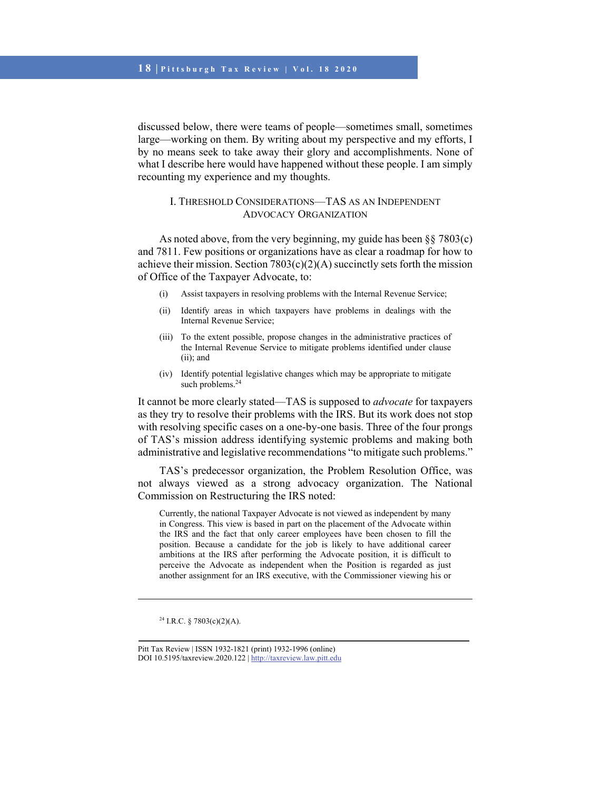discussed below, there were teams of people—sometimes small, sometimes large—working on them. By writing about my perspective and my efforts, I by no means seek to take away their glory and accomplishments. None of what I describe here would have happened without these people. I am simply recounting my experience and my thoughts.

### I. THRESHOLD CONSIDERATIONS—TAS AS AN INDEPENDENT ADVOCACY ORGANIZATION

As noted above, from the very beginning, my guide has been §§ 7803(c) and 7811. Few positions or organizations have as clear a roadmap for how to achieve their mission. Section  $7803(c)(2)(A)$  succinctly sets forth the mission of Office of the Taxpayer Advocate, to:

- (i) Assist taxpayers in resolving problems with the Internal Revenue Service;
- (ii) Identify areas in which taxpayers have problems in dealings with the Internal Revenue Service;
- (iii) To the extent possible, propose changes in the administrative practices of the Internal Revenue Service to mitigate problems identified under clause (ii); and
- (iv) Identify potential legislative changes which may be appropriate to mitigate such problems.<sup>24</sup>

It cannot be more clearly stated—TAS is supposed to *advocate* for taxpayers as they try to resolve their problems with the IRS. But its work does not stop with resolving specific cases on a one-by-one basis. Three of the four prongs of TAS's mission address identifying systemic problems and making both administrative and legislative recommendations "to mitigate such problems."

TAS's predecessor organization, the Problem Resolution Office, was not always viewed as a strong advocacy organization. The National Commission on Restructuring the IRS noted:

Currently, the national Taxpayer Advocate is not viewed as independent by many in Congress. This view is based in part on the placement of the Advocate within the IRS and the fact that only career employees have been chosen to fill the position. Because a candidate for the job is likely to have additional career ambitions at the IRS after performing the Advocate position, it is difficult to perceive the Advocate as independent when the Position is regarded as just another assignment for an IRS executive, with the Commissioner viewing his or

<sup>&</sup>lt;sup>24</sup> I.R.C. § 7803(c)(2)(A).

Pitt Tax Review | ISSN 1932-1821 (print) 1932-1996 (online) DOI 10.5195/taxreview.2020.122 | http://taxreview.law.pitt.edu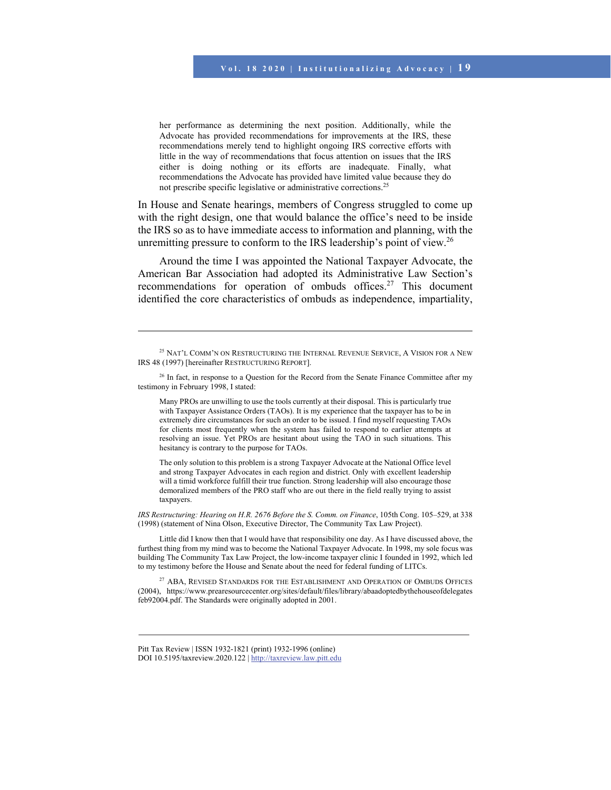her performance as determining the next position. Additionally, while the Advocate has provided recommendations for improvements at the IRS, these recommendations merely tend to highlight ongoing IRS corrective efforts with little in the way of recommendations that focus attention on issues that the IRS either is doing nothing or its efforts are inadequate. Finally, what recommendations the Advocate has provided have limited value because they do not prescribe specific legislative or administrative corrections.25

In House and Senate hearings, members of Congress struggled to come up with the right design, one that would balance the office's need to be inside the IRS so as to have immediate access to information and planning, with the unremitting pressure to conform to the IRS leadership's point of view.<sup>26</sup>

Around the time I was appointed the National Taxpayer Advocate, the American Bar Association had adopted its Administrative Law Section's recommendations for operation of ombuds offices.<sup>27</sup> This document identified the core characteristics of ombuds as independence, impartiality,

Many PROs are unwilling to use the tools currently at their disposal. This is particularly true with Taxpayer Assistance Orders (TAOs). It is my experience that the taxpayer has to be in extremely dire circumstances for such an order to be issued. I find myself requesting TAOs for clients most frequently when the system has failed to respond to earlier attempts at resolving an issue. Yet PROs are hesitant about using the TAO in such situations. This hesitancy is contrary to the purpose for TAOs.

The only solution to this problem is a strong Taxpayer Advocate at the National Office level and strong Taxpayer Advocates in each region and district. Only with excellent leadership will a timid workforce fulfill their true function. Strong leadership will also encourage those demoralized members of the PRO staff who are out there in the field really trying to assist taxpayers.

*IRS Restructuring: Hearing on H.R. 2676 Before the S. Comm. on Finance*, 105th Cong. 105–529, at 338 (1998) (statement of Nina Olson, Executive Director, The Community Tax Law Project).

Little did I know then that I would have that responsibility one day. As I have discussed above, the furthest thing from my mind was to become the National Taxpayer Advocate. In 1998, my sole focus was building The Community Tax Law Project, the low-income taxpayer clinic I founded in 1992, which led to my testimony before the House and Senate about the need for federal funding of LITCs.

<sup>27</sup> ABA, REVISED STANDARDS FOR THE ESTABLISHMENT AND OPERATION OF OMBUDS OFFICES (2004), https://www.prearesourcecenter.org/sites/default/files/library/abaadoptedbythehouseofdelegates feb92004.pdf. The Standards were originally adopted in 2001.

<sup>&</sup>lt;sup>25</sup> NAT'L COMM'N ON RESTRUCTURING THE INTERNAL REVENUE SERVICE, A VISION FOR A NEW IRS 48 (1997) [hereinafter RESTRUCTURING REPORT].

<sup>&</sup>lt;sup>26</sup> In fact, in response to a Question for the Record from the Senate Finance Committee after my testimony in February 1998, I stated:

Pitt Tax Review | ISSN 1932-1821 (print) 1932-1996 (online) DOI 10.5195/taxreview.2020.122 | http://taxreview.law.pitt.edu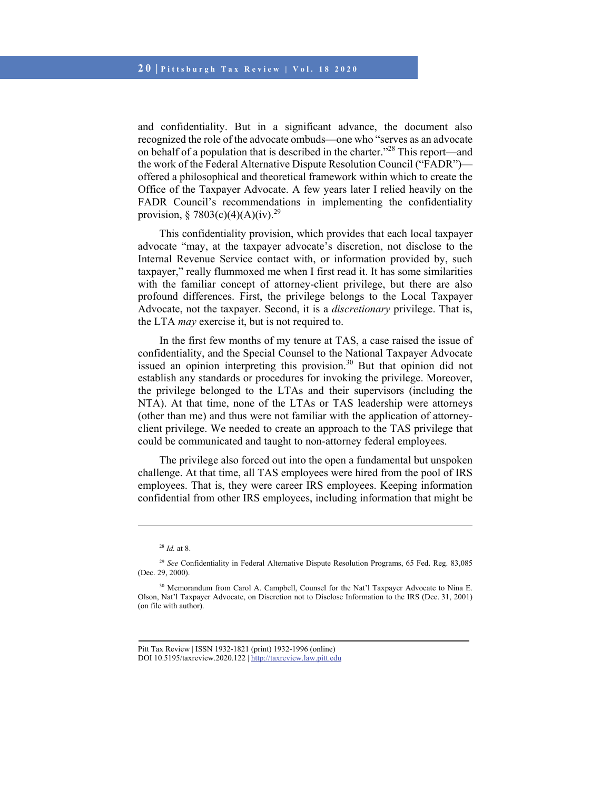and confidentiality. But in a significant advance, the document also recognized the role of the advocate ombuds—one who "serves as an advocate on behalf of a population that is described in the charter."28 This report—and the work of the Federal Alternative Dispute Resolution Council ("FADR") offered a philosophical and theoretical framework within which to create the Office of the Taxpayer Advocate. A few years later I relied heavily on the FADR Council's recommendations in implementing the confidentiality provision, § 7803(c)(4)(A)(iv).<sup>29</sup>

This confidentiality provision, which provides that each local taxpayer advocate "may, at the taxpayer advocate's discretion, not disclose to the Internal Revenue Service contact with, or information provided by, such taxpayer," really flummoxed me when I first read it. It has some similarities with the familiar concept of attorney-client privilege, but there are also profound differences. First, the privilege belongs to the Local Taxpayer Advocate, not the taxpayer. Second, it is a *discretionary* privilege. That is, the LTA *may* exercise it, but is not required to.

In the first few months of my tenure at TAS, a case raised the issue of confidentiality, and the Special Counsel to the National Taxpayer Advocate issued an opinion interpreting this provision.<sup>30</sup> But that opinion did not establish any standards or procedures for invoking the privilege. Moreover, the privilege belonged to the LTAs and their supervisors (including the NTA). At that time, none of the LTAs or TAS leadership were attorneys (other than me) and thus were not familiar with the application of attorneyclient privilege. We needed to create an approach to the TAS privilege that could be communicated and taught to non-attorney federal employees.

The privilege also forced out into the open a fundamental but unspoken challenge. At that time, all TAS employees were hired from the pool of IRS employees. That is, they were career IRS employees. Keeping information confidential from other IRS employees, including information that might be

<sup>28</sup> *Id.* at 8.

<sup>29</sup> *See* Confidentiality in Federal Alternative Dispute Resolution Programs, 65 Fed. Reg. 83,085 (Dec. 29, 2000).

<sup>&</sup>lt;sup>30</sup> Memorandum from Carol A. Campbell, Counsel for the Nat'l Taxpayer Advocate to Nina E. Olson, Nat'l Taxpayer Advocate, on Discretion not to Disclose Information to the IRS (Dec. 31, 2001) (on file with author).

Pitt Tax Review | ISSN 1932-1821 (print) 1932-1996 (online) DOI 10.5195/taxreview.2020.122 | http://taxreview.law.pitt.edu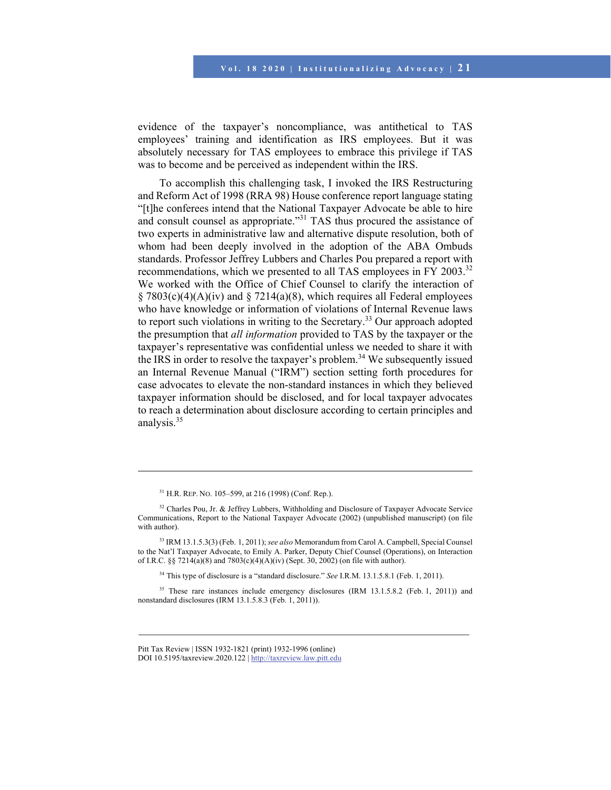evidence of the taxpayer's noncompliance, was antithetical to TAS employees' training and identification as IRS employees. But it was absolutely necessary for TAS employees to embrace this privilege if TAS was to become and be perceived as independent within the IRS.

To accomplish this challenging task, I invoked the IRS Restructuring and Reform Act of 1998 (RRA 98) House conference report language stating "[t]he conferees intend that the National Taxpayer Advocate be able to hire and consult counsel as appropriate."<sup>31</sup> TAS thus procured the assistance of two experts in administrative law and alternative dispute resolution, both of whom had been deeply involved in the adoption of the ABA Ombuds standards. Professor Jeffrey Lubbers and Charles Pou prepared a report with recommendations, which we presented to all TAS employees in FY 2003.<sup>32</sup> We worked with the Office of Chief Counsel to clarify the interaction of  $\S 7803(c)(4)(A)(iv)$  and  $\S 7214(a)(8)$ , which requires all Federal employees who have knowledge or information of violations of Internal Revenue laws to report such violations in writing to the Secretary.<sup>33</sup> Our approach adopted the presumption that *all information* provided to TAS by the taxpayer or the taxpayer's representative was confidential unless we needed to share it with the IRS in order to resolve the taxpayer's problem.<sup>34</sup> We subsequently issued an Internal Revenue Manual ("IRM") section setting forth procedures for case advocates to elevate the non-standard instances in which they believed taxpayer information should be disclosed, and for local taxpayer advocates to reach a determination about disclosure according to certain principles and analysis.<sup>35</sup>

l

34 This type of disclosure is a "standard disclosure." *See* I.R.M. 13.1.5.8.1 (Feb. 1, 2011).

 $35$  These rare instances include emergency disclosures (IRM 13.1.5.8.2 (Feb. 1, 2011)) and nonstandard disclosures (IRM 13.1.5.8.3 (Feb. 1, 2011)).

 $31$  H.R. REP. NO. 105–599, at 216 (1998) (Conf. Rep.).

<sup>&</sup>lt;sup>32</sup> Charles Pou, Jr. & Jeffrey Lubbers, Withholding and Disclosure of Taxpayer Advocate Service Communications, Report to the National Taxpayer Advocate (2002) (unpublished manuscript) (on file with author).

<sup>33</sup> IRM 13.1.5.3(3) (Feb. 1, 2011); *see also* Memorandum from Carol A. Campbell, Special Counsel to the Nat'l Taxpayer Advocate, to Emily A. Parker, Deputy Chief Counsel (Operations), on Interaction of I.R.C. §§ 7214(a)(8) and 7803(c)(4)(A)(iv) (Sept. 30, 2002) (on file with author).

Pitt Tax Review | ISSN 1932-1821 (print) 1932-1996 (online) DOI 10.5195/taxreview.2020.122 | http://taxreview.law.pitt.edu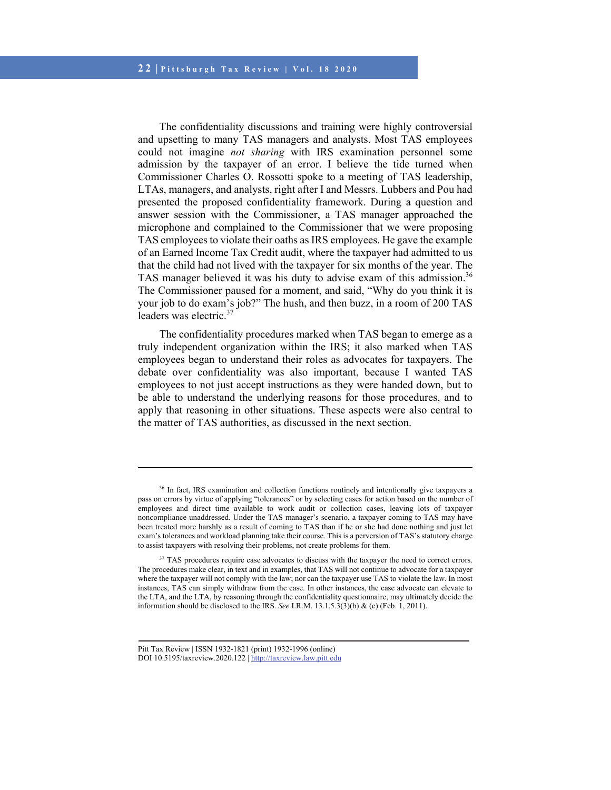The confidentiality discussions and training were highly controversial and upsetting to many TAS managers and analysts. Most TAS employees could not imagine *not sharing* with IRS examination personnel some admission by the taxpayer of an error. I believe the tide turned when Commissioner Charles O. Rossotti spoke to a meeting of TAS leadership, LTAs, managers, and analysts, right after I and Messrs. Lubbers and Pou had presented the proposed confidentiality framework. During a question and answer session with the Commissioner, a TAS manager approached the microphone and complained to the Commissioner that we were proposing TAS employees to violate their oaths as IRS employees. He gave the example of an Earned Income Tax Credit audit, where the taxpayer had admitted to us that the child had not lived with the taxpayer for six months of the year. The TAS manager believed it was his duty to advise exam of this admission.<sup>36</sup> The Commissioner paused for a moment, and said, "Why do you think it is your job to do exam's job?" The hush, and then buzz, in a room of 200 TAS leaders was electric.<sup>37</sup>

The confidentiality procedures marked when TAS began to emerge as a truly independent organization within the IRS; it also marked when TAS employees began to understand their roles as advocates for taxpayers. The debate over confidentiality was also important, because I wanted TAS employees to not just accept instructions as they were handed down, but to be able to understand the underlying reasons for those procedures, and to apply that reasoning in other situations. These aspects were also central to the matter of TAS authorities, as discussed in the next section.

<sup>&</sup>lt;sup>36</sup> In fact, IRS examination and collection functions routinely and intentionally give taxpayers a pass on errors by virtue of applying "tolerances" or by selecting cases for action based on the number of employees and direct time available to work audit or collection cases, leaving lots of taxpayer noncompliance unaddressed. Under the TAS manager's scenario, a taxpayer coming to TAS may have been treated more harshly as a result of coming to TAS than if he or she had done nothing and just let exam's tolerances and workload planning take their course. This is a perversion of TAS's statutory charge to assist taxpayers with resolving their problems, not create problems for them.

<sup>&</sup>lt;sup>37</sup> TAS procedures require case advocates to discuss with the taxpayer the need to correct errors. The procedures make clear, in text and in examples, that TAS will not continue to advocate for a taxpayer where the taxpayer will not comply with the law; nor can the taxpayer use TAS to violate the law. In most instances, TAS can simply withdraw from the case. In other instances, the case advocate can elevate to the LTA, and the LTA, by reasoning through the confidentiality questionnaire, may ultimately decide the information should be disclosed to the IRS. *See* I.R.M. 13.1.5.3(3)(b) & (c) (Feb. 1, 2011).

Pitt Tax Review | ISSN 1932-1821 (print) 1932-1996 (online) DOI 10.5195/taxreview.2020.122 | http://taxreview.law.pitt.edu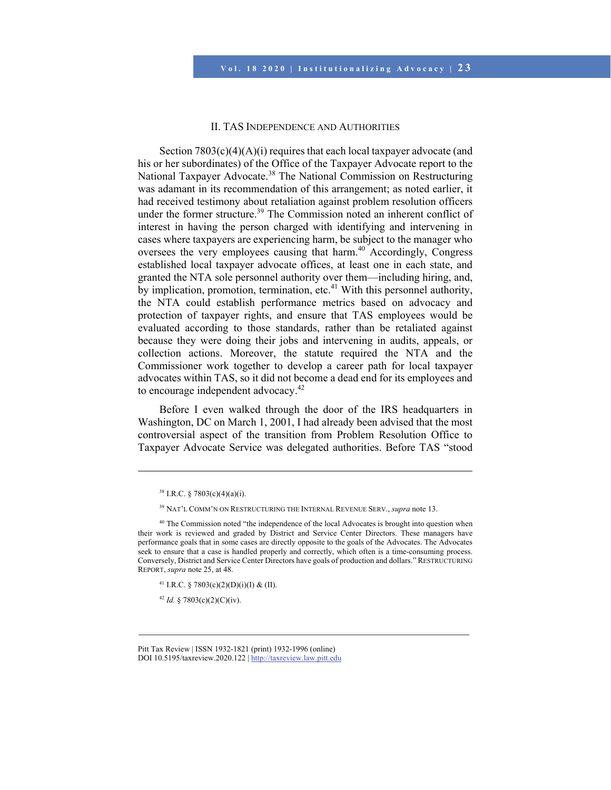#### II. TAS INDEPENDENCE AND AUTHORITIES

Section  $7803(c)(4)(A)(i)$  requires that each local taxpayer advocate (and his or her subordinates) of the Office of the Taxpayer Advocate report to the National Taxpayer Advocate.38 The National Commission on Restructuring was adamant in its recommendation of this arrangement; as noted earlier, it had received testimony about retaliation against problem resolution officers under the former structure.<sup>39</sup> The Commission noted an inherent conflict of interest in having the person charged with identifying and intervening in cases where taxpayers are experiencing harm, be subject to the manager who oversees the very employees causing that harm.<sup>40</sup> Accordingly, Congress established local taxpayer advocate offices, at least one in each state, and granted the NTA sole personnel authority over them—including hiring, and, by implication, promotion, termination, etc.<sup>41</sup> With this personnel authority, the NTA could establish performance metrics based on advocacy and protection of taxpayer rights, and ensure that TAS employees would be evaluated according to those standards, rather than be retaliated against because they were doing their jobs and intervening in audits, appeals, or collection actions. Moreover, the statute required the NTA and the Commissioner work together to develop a career path for local taxpayer advocates within TAS, so it did not become a dead end for its employees and to encourage independent advocacy.<sup>42</sup>

Before I even walked through the door of the IRS headquarters in Washington, DC on March 1, 2001, I had already been advised that the most controversial aspect of the transition from Problem Resolution Office to Taxpayer Advocate Service was delegated authorities. Before TAS "stood

l

<sup>41</sup> I.R.C. § 7803(c)(2)(D)(i)(I) & (II).

 $42$  *Id.* § 7803(c)(2)(C)(iv).

 $38$  I.R.C. § 7803(c)(4)(a)(i).

<sup>39</sup> NAT'L COMM'N ON RESTRUCTURING THE INTERNAL REVENUE SERV., *supra* note 13.

<sup>&</sup>lt;sup>40</sup> The Commission noted "the independence of the local Advocates is brought into question when their work is reviewed and graded by District and Service Center Directors. These managers have performance goals that in some cases are directly opposite to the goals of the Advocates. The Advocates seek to ensure that a case is handled properly and correctly, which often is a time-consuming process. Conversely, District and Service Center Directors have goals of production and dollars." RESTRUCTURING REPORT, *supra* note 25, at 48.

Pitt Tax Review | ISSN 1932-1821 (print) 1932-1996 (online) DOI 10.5195/taxreview.2020.122 | http://taxreview.law.pitt.edu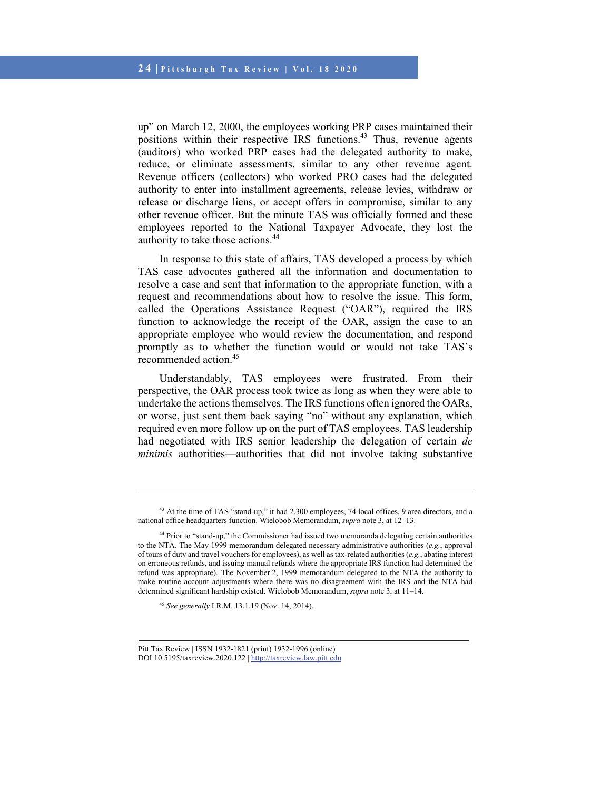up" on March 12, 2000, the employees working PRP cases maintained their positions within their respective IRS functions.<sup>43</sup> Thus, revenue agents (auditors) who worked PRP cases had the delegated authority to make, reduce, or eliminate assessments, similar to any other revenue agent. Revenue officers (collectors) who worked PRO cases had the delegated authority to enter into installment agreements, release levies, withdraw or release or discharge liens, or accept offers in compromise, similar to any other revenue officer. But the minute TAS was officially formed and these employees reported to the National Taxpayer Advocate, they lost the authority to take those actions.44

In response to this state of affairs, TAS developed a process by which TAS case advocates gathered all the information and documentation to resolve a case and sent that information to the appropriate function, with a request and recommendations about how to resolve the issue. This form, called the Operations Assistance Request ("OAR"), required the IRS function to acknowledge the receipt of the OAR, assign the case to an appropriate employee who would review the documentation, and respond promptly as to whether the function would or would not take TAS's recommended action.<sup>45</sup>

Understandably, TAS employees were frustrated. From their perspective, the OAR process took twice as long as when they were able to undertake the actions themselves. The IRS functions often ignored the OARs, or worse, just sent them back saying "no" without any explanation, which required even more follow up on the part of TAS employees. TAS leadership had negotiated with IRS senior leadership the delegation of certain *de minimis* authorities—authorities that did not involve taking substantive

<sup>45</sup> *See generally* I.R.M. 13.1.19 (Nov. 14, 2014).

<sup>&</sup>lt;sup>43</sup> At the time of TAS "stand-up," it had 2,300 employees, 74 local offices, 9 area directors, and a national office headquarters function. Wielobob Memorandum, *supra* note 3, at 12–13.

<sup>44</sup> Prior to "stand-up," the Commissioner had issued two memoranda delegating certain authorities to the NTA. The May 1999 memorandum delegated necessary administrative authorities (*e.g.*, approval of tours of duty and travel vouchers for employees), as well as tax-related authorities (*e.g.*, abating interest on erroneous refunds, and issuing manual refunds where the appropriate IRS function had determined the refund was appropriate). The November 2, 1999 memorandum delegated to the NTA the authority to make routine account adjustments where there was no disagreement with the IRS and the NTA had determined significant hardship existed. Wielobob Memorandum, *supra* note 3, at 11–14.

Pitt Tax Review | ISSN 1932-1821 (print) 1932-1996 (online) DOI 10.5195/taxreview.2020.122 | http://taxreview.law.pitt.edu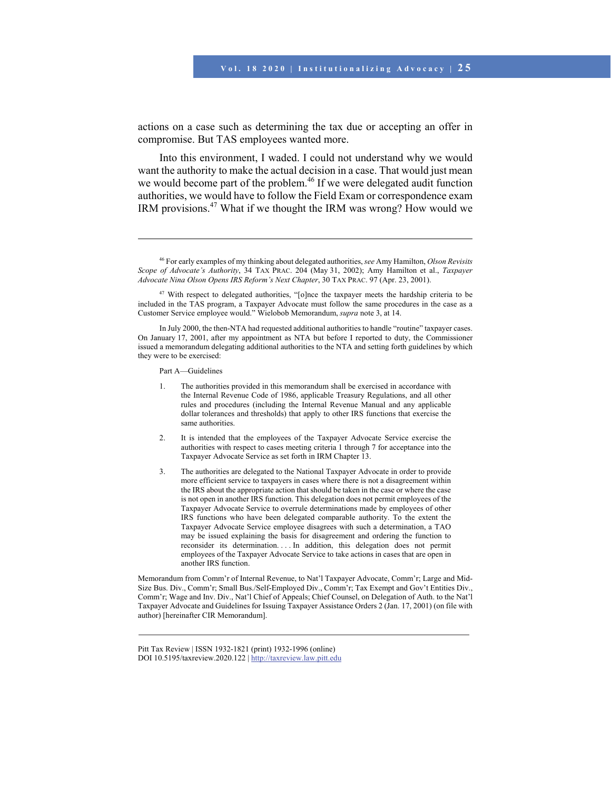actions on a case such as determining the tax due or accepting an offer in compromise. But TAS employees wanted more.

Into this environment, I waded. I could not understand why we would want the authority to make the actual decision in a case. That would just mean we would become part of the problem.<sup>46</sup> If we were delegated audit function authorities, we would have to follow the Field Exam or correspondence exam IRM provisions.<sup>47</sup> What if we thought the IRM was wrong? How would we

Part A—Guidelines

l

Memorandum from Comm'r of Internal Revenue, to Nat'l Taxpayer Advocate, Comm'r; Large and Mid-Size Bus. Div., Comm'r; Small Bus./Self-Employed Div., Comm'r; Tax Exempt and Gov't Entities Div., Comm'r; Wage and Inv. Div., Nat'l Chief of Appeals; Chief Counsel, on Delegation of Auth. to the Nat'l Taxpayer Advocate and Guidelines for Issuing Taxpayer Assistance Orders 2 (Jan. 17, 2001) (on file with author) [hereinafter CIR Memorandum].

<sup>46</sup> For early examples of my thinking about delegated authorities,*see* Amy Hamilton, *Olson Revisits Scope of Advocate's Authority*, 34 TAX PRAC. 204 (May 31, 2002); Amy Hamilton et al., *Taxpayer Advocate Nina Olson Opens IRS Reform's Next Chapter*, 30 TAX PRAC. 97 (Apr. 23, 2001).

<sup>&</sup>lt;sup>47</sup> With respect to delegated authorities, "[o]nce the taxpayer meets the hardship criteria to be included in the TAS program, a Taxpayer Advocate must follow the same procedures in the case as a Customer Service employee would." Wielobob Memorandum, *supra* note 3, at 14.

In July 2000, the then-NTA had requested additional authorities to handle "routine" taxpayer cases. On January 17, 2001, after my appointment as NTA but before I reported to duty, the Commissioner issued a memorandum delegating additional authorities to the NTA and setting forth guidelines by which they were to be exercised:

<sup>1.</sup> The authorities provided in this memorandum shall be exercised in accordance with the Internal Revenue Code of 1986, applicable Treasury Regulations, and all other rules and procedures (including the Internal Revenue Manual and any applicable dollar tolerances and thresholds) that apply to other IRS functions that exercise the same authorities.

<sup>2.</sup> It is intended that the employees of the Taxpayer Advocate Service exercise the authorities with respect to cases meeting criteria 1 through 7 for acceptance into the Taxpayer Advocate Service as set forth in IRM Chapter 13.

<sup>3.</sup> The authorities are delegated to the National Taxpayer Advocate in order to provide more efficient service to taxpayers in cases where there is not a disagreement within the IRS about the appropriate action that should be taken in the case or where the case is not open in another IRS function. This delegation does not permit employees of the Taxpayer Advocate Service to overrule determinations made by employees of other IRS functions who have been delegated comparable authority. To the extent the Taxpayer Advocate Service employee disagrees with such a determination, a TAO may be issued explaining the basis for disagreement and ordering the function to reconsider its determination. . . . In addition, this delegation does not permit employees of the Taxpayer Advocate Service to take actions in cases that are open in another IRS function.

Pitt Tax Review | ISSN 1932-1821 (print) 1932-1996 (online) DOI 10.5195/taxreview.2020.122 | http://taxreview.law.pitt.edu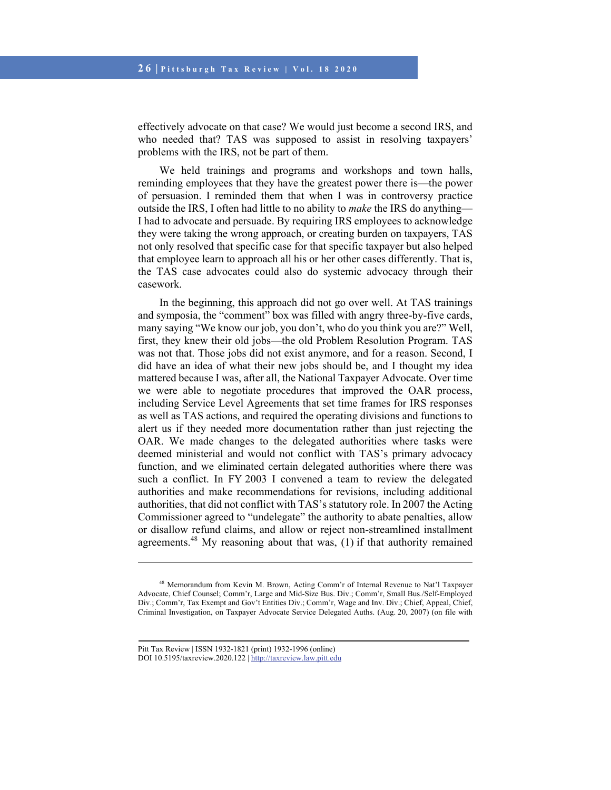effectively advocate on that case? We would just become a second IRS, and who needed that? TAS was supposed to assist in resolving taxpayers' problems with the IRS, not be part of them.

We held trainings and programs and workshops and town halls, reminding employees that they have the greatest power there is—the power of persuasion. I reminded them that when I was in controversy practice outside the IRS, I often had little to no ability to *make* the IRS do anything— I had to advocate and persuade. By requiring IRS employees to acknowledge they were taking the wrong approach, or creating burden on taxpayers, TAS not only resolved that specific case for that specific taxpayer but also helped that employee learn to approach all his or her other cases differently. That is, the TAS case advocates could also do systemic advocacy through their casework.

In the beginning, this approach did not go over well. At TAS trainings and symposia, the "comment" box was filled with angry three-by-five cards, many saying "We know our job, you don't, who do you think you are?" Well, first, they knew their old jobs—the old Problem Resolution Program. TAS was not that. Those jobs did not exist anymore, and for a reason. Second, I did have an idea of what their new jobs should be, and I thought my idea mattered because I was, after all, the National Taxpayer Advocate. Over time we were able to negotiate procedures that improved the OAR process, including Service Level Agreements that set time frames for IRS responses as well as TAS actions, and required the operating divisions and functions to alert us if they needed more documentation rather than just rejecting the OAR. We made changes to the delegated authorities where tasks were deemed ministerial and would not conflict with TAS's primary advocacy function, and we eliminated certain delegated authorities where there was such a conflict. In FY 2003 I convened a team to review the delegated authorities and make recommendations for revisions, including additional authorities, that did not conflict with TAS's statutory role. In 2007 the Acting Commissioner agreed to "undelegate" the authority to abate penalties, allow or disallow refund claims, and allow or reject non-streamlined installment agreements. $48$  My reasoning about that was, (1) if that authority remained

<sup>48</sup> Memorandum from Kevin M. Brown, Acting Comm'r of Internal Revenue to Nat'l Taxpayer Advocate, Chief Counsel; Comm'r, Large and Mid-Size Bus. Div.; Comm'r, Small Bus./Self-Employed Div.; Comm'r, Tax Exempt and Gov't Entities Div.; Comm'r, Wage and Inv. Div.; Chief, Appeal, Chief, Criminal Investigation, on Taxpayer Advocate Service Delegated Auths. (Aug. 20, 2007) (on file with

Pitt Tax Review | ISSN 1932-1821 (print) 1932-1996 (online) DOI 10.5195/taxreview.2020.122 | http://taxreview.law.pitt.edu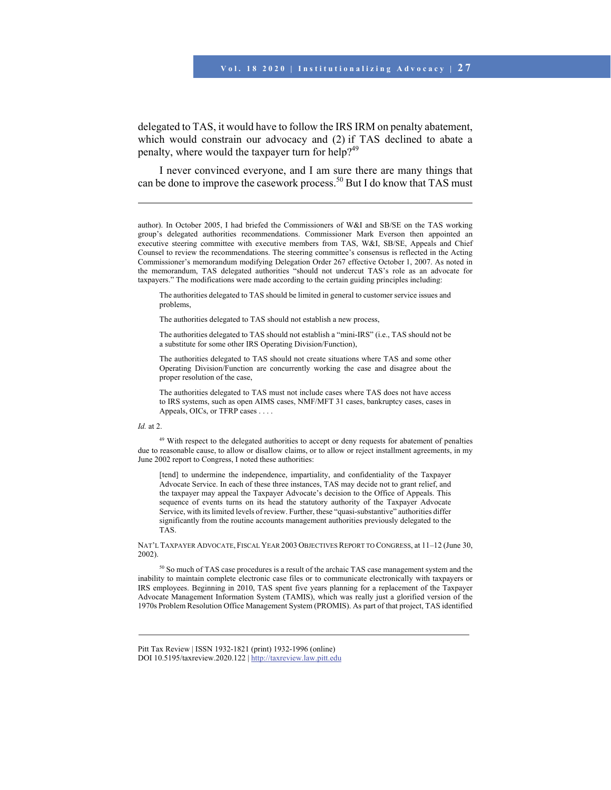delegated to TAS, it would have to follow the IRS IRM on penalty abatement, which would constrain our advocacy and (2) if TAS declined to abate a penalty, where would the taxpayer turn for help?<sup>49</sup>

I never convinced everyone, and I am sure there are many things that can be done to improve the casework process.<sup>50</sup> But I do know that TAS must

author). In October 2005, I had briefed the Commissioners of W&I and SB/SE on the TAS working group's delegated authorities recommendations. Commissioner Mark Everson then appointed an executive steering committee with executive members from TAS, W&I, SB/SE, Appeals and Chief Counsel to review the recommendations. The steering committee's consensus is reflected in the Acting Commissioner's memorandum modifying Delegation Order 267 effective October 1, 2007. As noted in the memorandum, TAS delegated authorities "should not undercut TAS's role as an advocate for taxpayers." The modifications were made according to the certain guiding principles including:

The authorities delegated to TAS should be limited in general to customer service issues and problems,

The authorities delegated to TAS should not establish a new process,

The authorities delegated to TAS should not establish a "mini-IRS" (i.e., TAS should not be a substitute for some other IRS Operating Division/Function),

The authorities delegated to TAS should not create situations where TAS and some other Operating Division/Function are concurrently working the case and disagree about the proper resolution of the case,

The authorities delegated to TAS must not include cases where TAS does not have access to IRS systems, such as open AIMS cases, NMF/MFT 31 cases, bankruptcy cases, cases in Appeals, OICs, or TFRP cases . . . .

#### *Id.* at 2.

l

<sup>49</sup> With respect to the delegated authorities to accept or deny requests for abatement of penalties due to reasonable cause, to allow or disallow claims, or to allow or reject installment agreements, in my June 2002 report to Congress, I noted these authorities:

[tend] to undermine the independence, impartiality, and confidentiality of the Taxpayer Advocate Service. In each of these three instances, TAS may decide not to grant relief, and the taxpayer may appeal the Taxpayer Advocate's decision to the Office of Appeals. This sequence of events turns on its head the statutory authority of the Taxpayer Advocate Service, with its limited levels of review. Further, these "quasi-substantive" authorities differ significantly from the routine accounts management authorities previously delegated to the TAS.

NAT'L TAXPAYER ADVOCATE, FISCAL YEAR 2003 OBJECTIVES REPORT TO CONGRESS, at 11–12 (June 30, 2002).

<sup>50</sup> So much of TAS case procedures is a result of the archaic TAS case management system and the inability to maintain complete electronic case files or to communicate electronically with taxpayers or IRS employees. Beginning in 2010, TAS spent five years planning for a replacement of the Taxpayer Advocate Management Information System (TAMIS), which was really just a glorified version of the 1970s Problem Resolution Office Management System (PROMIS). As part of that project, TAS identified

Pitt Tax Review | ISSN 1932-1821 (print) 1932-1996 (online) DOI 10.5195/taxreview.2020.122 | http://taxreview.law.pitt.edu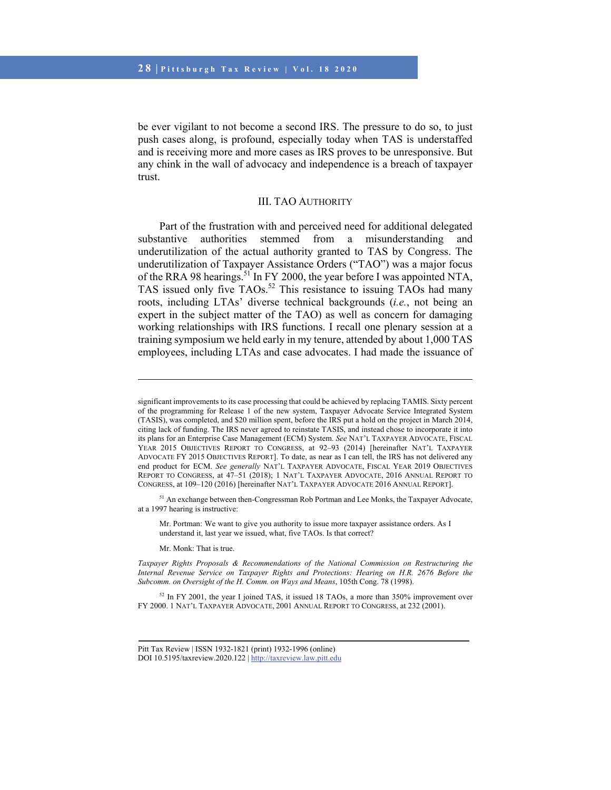be ever vigilant to not become a second IRS. The pressure to do so, to just push cases along, is profound, especially today when TAS is understaffed and is receiving more and more cases as IRS proves to be unresponsive. But any chink in the wall of advocacy and independence is a breach of taxpayer trust.

### III. TAO AUTHORITY

Part of the frustration with and perceived need for additional delegated substantive authorities stemmed from a misunderstanding and underutilization of the actual authority granted to TAS by Congress. The underutilization of Taxpayer Assistance Orders ("TAO") was a major focus of the RRA 98 hearings.<sup>51</sup> In FY 2000, the year before I was appointed NTA, TAS issued only five TAOs.<sup>52</sup> This resistance to issuing TAOs had many roots, including LTAs' diverse technical backgrounds (*i.e.*, not being an expert in the subject matter of the TAO) as well as concern for damaging working relationships with IRS functions. I recall one plenary session at a training symposium we held early in my tenure, attended by about 1,000 TAS employees, including LTAs and case advocates. I had made the issuance of

<sup>51</sup> An exchange between then-Congressman Rob Portman and Lee Monks, the Taxpayer Advocate, at a 1997 hearing is instructive:

Mr. Portman: We want to give you authority to issue more taxpayer assistance orders. As I understand it, last year we issued, what, five TAOs. Is that correct?

Mr. Monk: That is true.

 $\overline{a}$ 

*Taxpayer Rights Proposals & Recommendations of the National Commission on Restructuring the Internal Revenue Service on Taxpayer Rights and Protections: Hearing on H.R. 2676 Before the Subcomm. on Oversight of the H. Comm. on Ways and Means*, 105th Cong. 78 (1998).

<sup>52</sup> In FY 2001, the year I joined TAS, it issued 18 TAOs, a more than 350% improvement over FY 2000. 1 NAT'L TAXPAYER ADVOCATE, 2001 ANNUAL REPORT TO CONGRESS, at 232 (2001).

significant improvements to its case processing that could be achieved by replacing TAMIS. Sixty percent of the programming for Release 1 of the new system, Taxpayer Advocate Service Integrated System (TASIS), was completed, and \$20 million spent, before the IRS put a hold on the project in March 2014, citing lack of funding. The IRS never agreed to reinstate TASIS, and instead chose to incorporate it into its plans for an Enterprise Case Management (ECM) System. *See* NAT'L TAXPAYER ADVOCATE, FISCAL YEAR 2015 OBJECTIVES REPORT TO CONGRESS, at 92–93 (2014) [hereinafter NAT'L TAXPAYER ADVOCATE FY 2015 OBJECTIVES REPORT]. To date, as near as I can tell, the IRS has not delivered any end product for ECM. *See generally* NAT'L TAXPAYER ADVOCATE, FISCAL YEAR 2019 OBJECTIVES REPORT TO CONGRESS, at 47–51 (2018); 1 NAT'L TAXPAYER ADVOCATE, 2016 ANNUAL REPORT TO CONGRESS, at 109–120 (2016) [hereinafter NAT'L TAXPAYER ADVOCATE 2016 ANNUAL REPORT].

Pitt Tax Review | ISSN 1932-1821 (print) 1932-1996 (online) DOI 10.5195/taxreview.2020.122 | http://taxreview.law.pitt.edu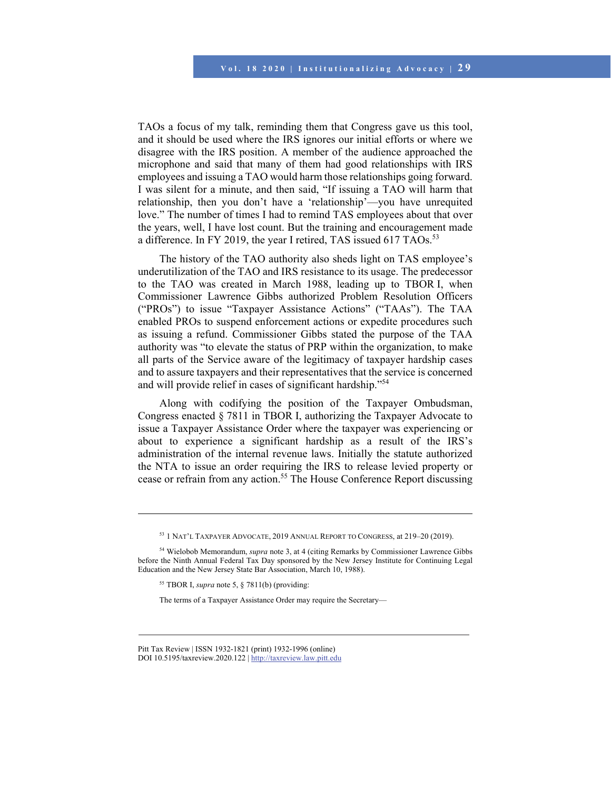TAOs a focus of my talk, reminding them that Congress gave us this tool, and it should be used where the IRS ignores our initial efforts or where we disagree with the IRS position. A member of the audience approached the microphone and said that many of them had good relationships with IRS employees and issuing a TAO would harm those relationships going forward. I was silent for a minute, and then said, "If issuing a TAO will harm that relationship, then you don't have a 'relationship'—you have unrequited love." The number of times I had to remind TAS employees about that over the years, well, I have lost count. But the training and encouragement made a difference. In FY 2019, the year I retired, TAS issued 617 TAOs.<sup>53</sup>

The history of the TAO authority also sheds light on TAS employee's underutilization of the TAO and IRS resistance to its usage. The predecessor to the TAO was created in March 1988, leading up to TBOR I, when Commissioner Lawrence Gibbs authorized Problem Resolution Officers ("PROs") to issue "Taxpayer Assistance Actions" ("TAAs"). The TAA enabled PROs to suspend enforcement actions or expedite procedures such as issuing a refund. Commissioner Gibbs stated the purpose of the TAA authority was "to elevate the status of PRP within the organization, to make all parts of the Service aware of the legitimacy of taxpayer hardship cases and to assure taxpayers and their representatives that the service is concerned and will provide relief in cases of significant hardship."<sup>54</sup>

Along with codifying the position of the Taxpayer Ombudsman, Congress enacted § 7811 in TBOR I, authorizing the Taxpayer Advocate to issue a Taxpayer Assistance Order where the taxpayer was experiencing or about to experience a significant hardship as a result of the IRS's administration of the internal revenue laws. Initially the statute authorized the NTA to issue an order requiring the IRS to release levied property or cease or refrain from any action.55 The House Conference Report discussing

<sup>53 1</sup> NAT'L TAXPAYER ADVOCATE, 2019 ANNUAL REPORT TO CONGRESS, at 219–20 (2019).

<sup>54</sup> Wielobob Memorandum, *supra* note 3, at 4 (citing Remarks by Commissioner Lawrence Gibbs before the Ninth Annual Federal Tax Day sponsored by the New Jersey Institute for Continuing Legal Education and the New Jersey State Bar Association, March 10, 1988).

<sup>55</sup> TBOR I, *supra* note 5, § 7811(b) (providing:

The terms of a Taxpayer Assistance Order may require the Secretary—

Pitt Tax Review | ISSN 1932-1821 (print) 1932-1996 (online) DOI 10.5195/taxreview.2020.122 | http://taxreview.law.pitt.edu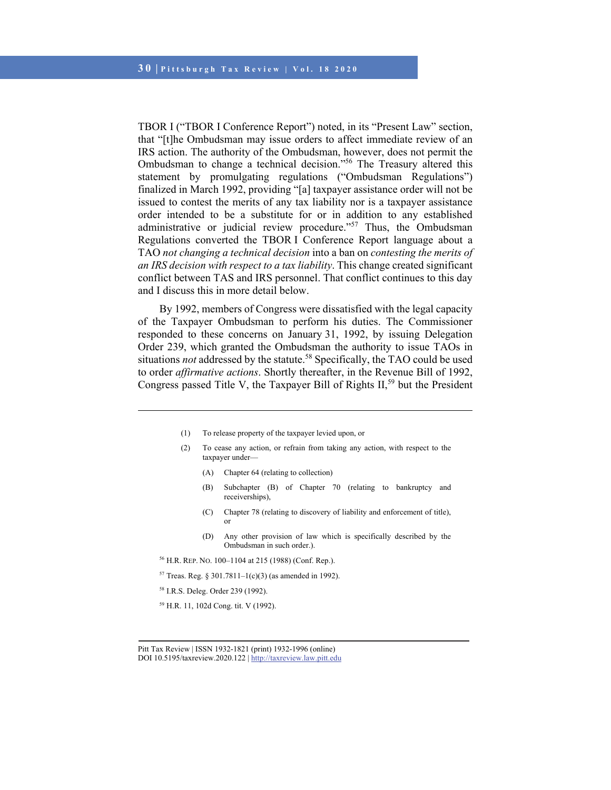TBOR I ("TBOR I Conference Report") noted, in its "Present Law" section, that "[t]he Ombudsman may issue orders to affect immediate review of an IRS action. The authority of the Ombudsman, however, does not permit the Ombudsman to change a technical decision."<sup>56</sup> The Treasury altered this statement by promulgating regulations ("Ombudsman Regulations") finalized in March 1992, providing "[a] taxpayer assistance order will not be issued to contest the merits of any tax liability nor is a taxpayer assistance order intended to be a substitute for or in addition to any established administrative or judicial review procedure."<sup>57</sup> Thus, the Ombudsman Regulations converted the TBOR I Conference Report language about a TAO *not changing a technical decision* into a ban on *contesting the merits of an IRS decision with respect to a tax liability*. This change created significant conflict between TAS and IRS personnel. That conflict continues to this day and I discuss this in more detail below.

By 1992, members of Congress were dissatisfied with the legal capacity of the Taxpayer Ombudsman to perform his duties. The Commissioner responded to these concerns on January 31, 1992, by issuing Delegation Order 239, which granted the Ombudsman the authority to issue TAOs in situations *not* addressed by the statute.<sup>58</sup> Specifically, the TAO could be used to order *affirmative actions*. Shortly thereafter, in the Revenue Bill of 1992, Congress passed Title V, the Taxpayer Bill of Rights  $II<sub>59</sub>$  but the President

- (1) To release property of the taxpayer levied upon, or
- (2) To cease any action, or refrain from taking any action, with respect to the taxpayer under—
	- (A) Chapter 64 (relating to collection)
	- (B) Subchapter (B) of Chapter 70 (relating to bankruptcy and receiverships),
	- (C) Chapter 78 (relating to discovery of liability and enforcement of title), or
	- (D) Any other provision of law which is specifically described by the Ombudsman in such order.).
- 56 H.R. REP. NO. 100–1104 at 215 (1988) (Conf. Rep.).
- <sup>57</sup> Treas. Reg. § 301.7811-1(c)(3) (as amended in 1992).
- 58 I.R.S. Deleg. Order 239 (1992).

l

59 H.R. 11, 102d Cong. tit. V (1992).

Pitt Tax Review | ISSN 1932-1821 (print) 1932-1996 (online)

DOI 10.5195/taxreview.2020.122 | http://taxreview.law.pitt.edu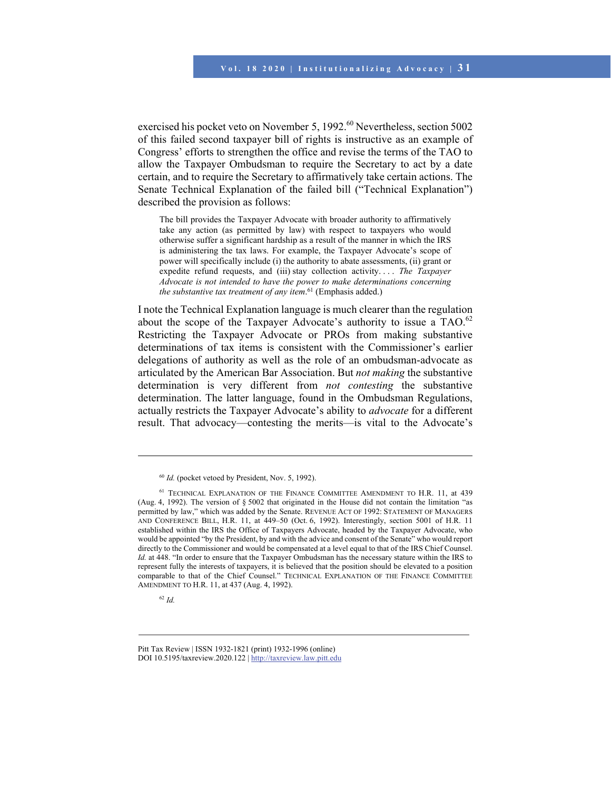exercised his pocket veto on November 5, 1992.<sup>60</sup> Nevertheless, section 5002 of this failed second taxpayer bill of rights is instructive as an example of Congress' efforts to strengthen the office and revise the terms of the TAO to allow the Taxpayer Ombudsman to require the Secretary to act by a date certain, and to require the Secretary to affirmatively take certain actions. The Senate Technical Explanation of the failed bill ("Technical Explanation") described the provision as follows:

The bill provides the Taxpayer Advocate with broader authority to affirmatively take any action (as permitted by law) with respect to taxpayers who would otherwise suffer a significant hardship as a result of the manner in which the IRS is administering the tax laws. For example, the Taxpayer Advocate's scope of power will specifically include (i) the authority to abate assessments, (ii) grant or expedite refund requests, and (iii) stay collection activity. . . . *The Taxpayer Advocate is not intended to have the power to make determinations concerning the substantive tax treatment of any item*. 61 (Emphasis added.)

I note the Technical Explanation language is much clearer than the regulation about the scope of the Taxpayer Advocate's authority to issue a  $TAO$ .<sup>62</sup> Restricting the Taxpayer Advocate or PROs from making substantive determinations of tax items is consistent with the Commissioner's earlier delegations of authority as well as the role of an ombudsman-advocate as articulated by the American Bar Association. But *not making* the substantive determination is very different from *not contesting* the substantive determination. The latter language, found in the Ombudsman Regulations, actually restricts the Taxpayer Advocate's ability to *advocate* for a different result. That advocacy—contesting the merits—is vital to the Advocate's

<sup>&</sup>lt;sup>60</sup> *Id.* (pocket vetoed by President, Nov. 5, 1992).

<sup>61</sup> TECHNICAL EXPLANATION OF THE FINANCE COMMITTEE AMENDMENT TO H.R. 11, at 439 (Aug. 4, 1992). The version of § 5002 that originated in the House did not contain the limitation "as permitted by law," which was added by the Senate. REVENUE ACT OF 1992: STATEMENT OF MANAGERS AND CONFERENCE BILL, H.R. 11, at 449–50 (Oct. 6, 1992). Interestingly, section 5001 of H.R. 11 established within the IRS the Office of Taxpayers Advocate, headed by the Taxpayer Advocate, who would be appointed "by the President, by and with the advice and consent of the Senate" who would report directly to the Commissioner and would be compensated at a level equal to that of the IRS Chief Counsel. *Id.* at 448. "In order to ensure that the Taxpayer Ombudsman has the necessary stature within the IRS to represent fully the interests of taxpayers, it is believed that the position should be elevated to a position comparable to that of the Chief Counsel." TECHNICAL EXPLANATION OF THE FINANCE COMMITTEE AMENDMENT TO H.R. 11, at 437 (Aug. 4, 1992).

<sup>62</sup> *Id.*

Pitt Tax Review | ISSN 1932-1821 (print) 1932-1996 (online) DOI 10.5195/taxreview.2020.122 | http://taxreview.law.pitt.edu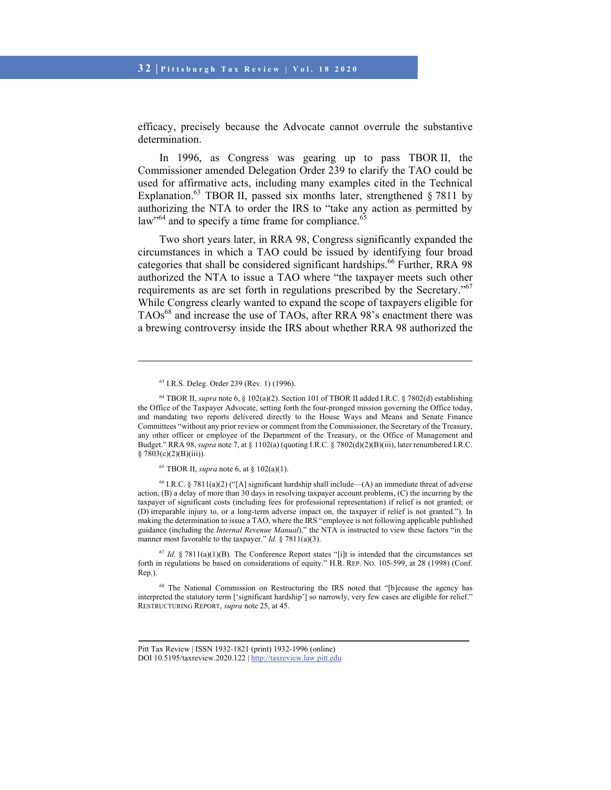efficacy, precisely because the Advocate cannot overrule the substantive determination.

In 1996, as Congress was gearing up to pass TBOR II, the Commissioner amended Delegation Order 239 to clarify the TAO could be used for affirmative acts, including many examples cited in the Technical Explanation.<sup>63</sup> TBOR II, passed six months later, strengthened  $\S 7811$  by authorizing the NTA to order the IRS to "take any action as permitted by law<sup>364</sup> and to specify a time frame for compliance.<sup>65</sup>

Two short years later, in RRA 98, Congress significantly expanded the circumstances in which a TAO could be issued by identifying four broad categories that shall be considered significant hardships.<sup>66</sup> Further, RRA 98 authorized the NTA to issue a TAO where "the taxpayer meets such other requirements as are set forth in regulations prescribed by the Secretary."<sup>67</sup> While Congress clearly wanted to expand the scope of taxpayers eligible for TAOs<sup>68</sup> and increase the use of TAOs, after RRA 98's enactment there was a brewing controversy inside the IRS about whether RRA 98 authorized the

 $\overline{a}$ 

<sup>66</sup> I.R.C. § 7811(a)(2) ("[A] significant hardship shall include—(A) an immediate threat of adverse action, (B) a delay of more than 30 days in resolving taxpayer account problems, (C) the incurring by the taxpayer of significant costs (including fees for professional representation) if relief is not granted; or (D) irreparable injury to, or a long-term adverse impact on, the taxpayer if relief is not granted."). In making the determination to issue a TAO, where the IRS "employee is not following applicable published guidance (including the *Internal Revenue Manual*)," the NTA is instructed to view these factors "in the manner most favorable to the taxpayer." *Id.* § 7811(a)(3).

 $67$  *Id.* § 7811(a)(1)(B). The Conference Report states "[i]t is intended that the circumstances set forth in regulations be based on considerations of equity." H.R. REP. NO. 105-599, at 28 (1998) (Conf. Rep.).

<sup>68</sup> The National Commission on Restructuring the IRS noted that "[b]ecause the agency has interpreted the statutory term ['significant hardship'] so narrowly, very few cases are eligible for relief." RESTRUCTURING REPORT, *supra* note 25, at 45.

<sup>63</sup> I.R.S. Deleg. Order 239 (Rev. 1) (1996).

<sup>64</sup> TBOR II, *supra* note 6, § 102(a)(2). Section 101 of TBOR II added I.R.C. § 7802(d) establishing the Office of the Taxpayer Advocate, setting forth the four-pronged mission governing the Office today, and mandating two reports delivered directly to the House Ways and Means and Senate Finance Committees "without any prior review or comment from the Commissioner, the Secretary of the Treasury, any other officer or employee of the Department of the Treasury, or the Office of Management and Budget." RRA 98, *supra* note 7, at § 1102(a) (quoting I.R.C. § 7802(d)(2)(B)(iii), later renumbered I.R.C.  $§ 7803(c)(2)(B)(iii)).$ 

<sup>65</sup> TBOR II, *supra* note 6, at § 102(a)(1).

Pitt Tax Review | ISSN 1932-1821 (print) 1932-1996 (online) DOI 10.5195/taxreview.2020.122 | http://taxreview.law.pitt.edu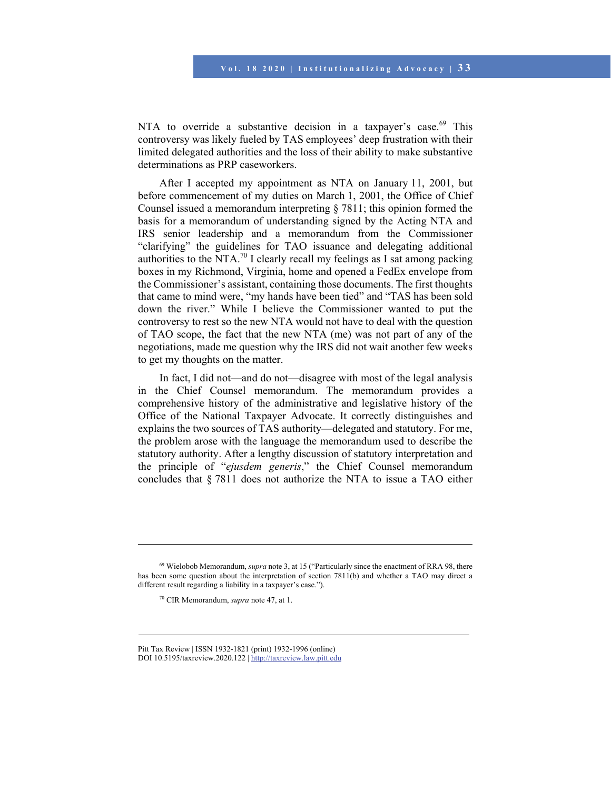NTA to override a substantive decision in a taxpayer's case.<sup>69</sup> This controversy was likely fueled by TAS employees' deep frustration with their limited delegated authorities and the loss of their ability to make substantive determinations as PRP caseworkers.

After I accepted my appointment as NTA on January 11, 2001, but before commencement of my duties on March 1, 2001, the Office of Chief Counsel issued a memorandum interpreting § 7811; this opinion formed the basis for a memorandum of understanding signed by the Acting NTA and IRS senior leadership and a memorandum from the Commissioner "clarifying" the guidelines for TAO issuance and delegating additional authorities to the NTA.<sup>70</sup> I clearly recall my feelings as I sat among packing boxes in my Richmond, Virginia, home and opened a FedEx envelope from the Commissioner's assistant, containing those documents. The first thoughts that came to mind were, "my hands have been tied" and "TAS has been sold down the river." While I believe the Commissioner wanted to put the controversy to rest so the new NTA would not have to deal with the question of TAO scope, the fact that the new NTA (me) was not part of any of the negotiations, made me question why the IRS did not wait another few weeks to get my thoughts on the matter.

In fact, I did not—and do not—disagree with most of the legal analysis in the Chief Counsel memorandum. The memorandum provides a comprehensive history of the administrative and legislative history of the Office of the National Taxpayer Advocate. It correctly distinguishes and explains the two sources of TAS authority—delegated and statutory. For me, the problem arose with the language the memorandum used to describe the statutory authority. After a lengthy discussion of statutory interpretation and the principle of "*ejusdem generis*," the Chief Counsel memorandum concludes that § 7811 does not authorize the NTA to issue a TAO either

<sup>69</sup> Wielobob Memorandum, *supra* note 3, at 15 ("Particularly since the enactment of RRA 98, there has been some question about the interpretation of section 7811(b) and whether a TAO may direct a different result regarding a liability in a taxpayer's case.").

<sup>70</sup> CIR Memorandum, *supra* note 47, at 1.

Pitt Tax Review | ISSN 1932-1821 (print) 1932-1996 (online) DOI 10.5195/taxreview.2020.122 | http://taxreview.law.pitt.edu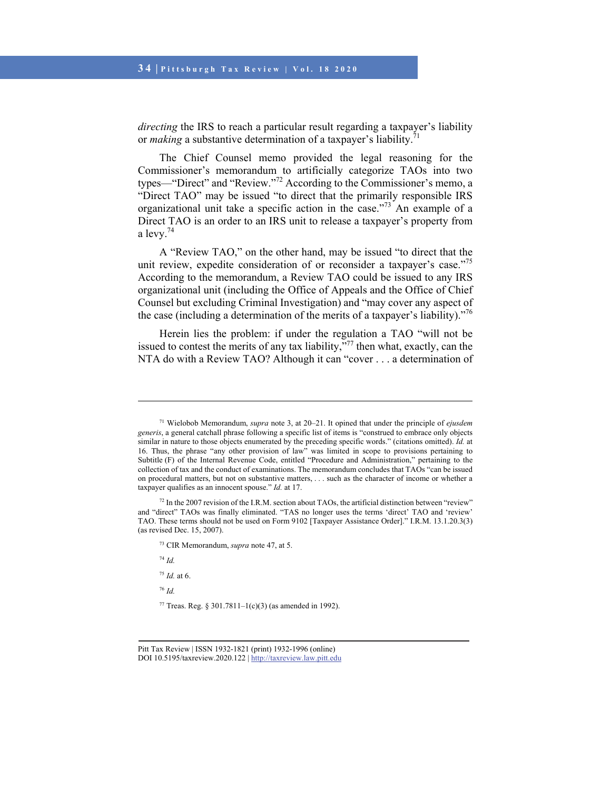### **3 4 | Pittsburgh Tax Review | Vol. 18 2020**

*directing* the IRS to reach a particular result regarding a taxpayer's liability or *making* a substantive determination of a taxpayer's liability.<sup>71</sup>

The Chief Counsel memo provided the legal reasoning for the Commissioner's memorandum to artificially categorize TAOs into two types—"Direct" and "Review."72 According to the Commissioner's memo, a "Direct TAO" may be issued "to direct that the primarily responsible IRS organizational unit take a specific action in the case."73 An example of a Direct TAO is an order to an IRS unit to release a taxpayer's property from a levy.74

A "Review TAO," on the other hand, may be issued "to direct that the unit review, expedite consideration of or reconsider a taxpayer's case."<sup>75</sup> According to the memorandum, a Review TAO could be issued to any IRS organizational unit (including the Office of Appeals and the Office of Chief Counsel but excluding Criminal Investigation) and "may cover any aspect of the case (including a determination of the merits of a taxpayer's liability)."76

Herein lies the problem: if under the regulation a TAO "will not be issued to contest the merits of any tax liability, $\frac{1}{2}$ , then what, exactly, can the NTA do with a Review TAO? Although it can "cover . . . a determination of

<sup>74</sup> *Id.*

- <sup>75</sup> *Id.* at 6.
- <sup>76</sup> *Id.*

<sup>71</sup> Wielobob Memorandum, *supra* note 3, at 20–21. It opined that under the principle of *ejusdem generis*, a general catchall phrase following a specific list of items is "construed to embrace only objects similar in nature to those objects enumerated by the preceding specific words." (citations omitted). *Id.* at 16. Thus, the phrase "any other provision of law" was limited in scope to provisions pertaining to Subtitle (F) of the Internal Revenue Code, entitled "Procedure and Administration," pertaining to the collection of tax and the conduct of examinations. The memorandum concludes that TAOs "can be issued on procedural matters, but not on substantive matters, . . . such as the character of income or whether a taxpayer qualifies as an innocent spouse." *Id.* at 17.

 $72$  In the 2007 revision of the I.R.M. section about TAOs, the artificial distinction between "review" and "direct" TAOs was finally eliminated. "TAS no longer uses the terms 'direct' TAO and 'review' TAO. These terms should not be used on Form 9102 [Taxpayer Assistance Order]." I.R.M. 13.1.20.3(3) (as revised Dec. 15, 2007).

<sup>73</sup> CIR Memorandum, *supra* note 47, at 5.

<sup>77</sup> Treas. Reg. § 301.7811–1(c)(3) (as amended in 1992).

Pitt Tax Review | ISSN 1932-1821 (print) 1932-1996 (online) DOI 10.5195/taxreview.2020.122 | http://taxreview.law.pitt.edu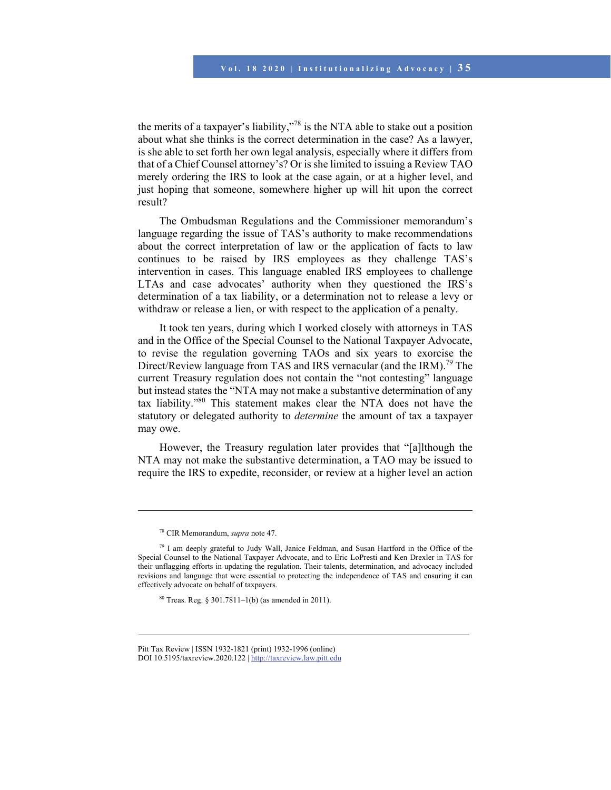the merits of a taxpayer's liability,"<sup>78</sup> is the NTA able to stake out a position about what she thinks is the correct determination in the case? As a lawyer, is she able to set forth her own legal analysis, especially where it differs from that of a Chief Counsel attorney's? Or is she limited to issuing a Review TAO merely ordering the IRS to look at the case again, or at a higher level, and just hoping that someone, somewhere higher up will hit upon the correct result?

The Ombudsman Regulations and the Commissioner memorandum's language regarding the issue of TAS's authority to make recommendations about the correct interpretation of law or the application of facts to law continues to be raised by IRS employees as they challenge TAS's intervention in cases. This language enabled IRS employees to challenge LTAs and case advocates' authority when they questioned the IRS's determination of a tax liability, or a determination not to release a levy or withdraw or release a lien, or with respect to the application of a penalty.

It took ten years, during which I worked closely with attorneys in TAS and in the Office of the Special Counsel to the National Taxpayer Advocate, to revise the regulation governing TAOs and six years to exorcise the Direct/Review language from TAS and IRS vernacular (and the IRM).<sup>79</sup> The current Treasury regulation does not contain the "not contesting" language but instead states the "NTA may not make a substantive determination of any tax liability."80 This statement makes clear the NTA does not have the statutory or delegated authority to *determine* the amount of tax a taxpayer may owe.

However, the Treasury regulation later provides that "[a]lthough the NTA may not make the substantive determination, a TAO may be issued to require the IRS to expedite, reconsider, or review at a higher level an action

 $\overline{\phantom{a}}$ 

<sup>78</sup> CIR Memorandum, *supra* note 47.

 $79$  I am deeply grateful to Judy Wall, Janice Feldman, and Susan Hartford in the Office of the Special Counsel to the National Taxpayer Advocate, and to Eric LoPresti and Ken Drexler in TAS for their unflagging efforts in updating the regulation. Their talents, determination, and advocacy included revisions and language that were essential to protecting the independence of TAS and ensuring it can effectively advocate on behalf of taxpayers.

 $80$  Treas. Reg. § 301.7811–1(b) (as amended in 2011).

Pitt Tax Review | ISSN 1932-1821 (print) 1932-1996 (online) DOI 10.5195/taxreview.2020.122 | http://taxreview.law.pitt.edu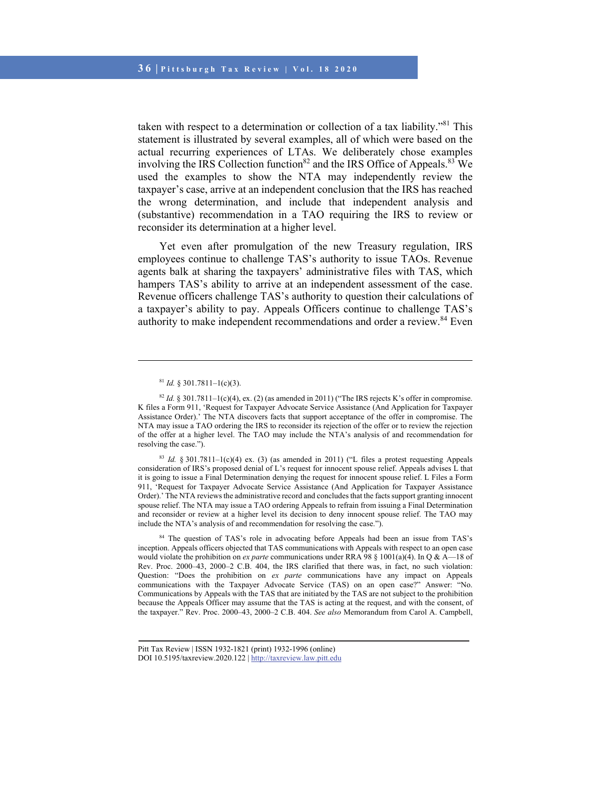taken with respect to a determination or collection of a tax liability."81 This statement is illustrated by several examples, all of which were based on the actual recurring experiences of LTAs. We deliberately chose examples involving the IRS Collection function<sup>82</sup> and the IRS Office of Appeals.<sup>83</sup> We used the examples to show the NTA may independently review the taxpayer's case, arrive at an independent conclusion that the IRS has reached the wrong determination, and include that independent analysis and (substantive) recommendation in a TAO requiring the IRS to review or reconsider its determination at a higher level.

Yet even after promulgation of the new Treasury regulation, IRS employees continue to challenge TAS's authority to issue TAOs. Revenue agents balk at sharing the taxpayers' administrative files with TAS, which hampers TAS's ability to arrive at an independent assessment of the case. Revenue officers challenge TAS's authority to question their calculations of a taxpayer's ability to pay. Appeals Officers continue to challenge TAS's authority to make independent recommendations and order a review.<sup>84</sup> Even

l

 $83$  *Id.*  $\frac{1}{2}$  301.7811–1(c)(4) ex. (3) (as amended in 2011) ("L files a protest requesting Appeals consideration of IRS's proposed denial of L's request for innocent spouse relief. Appeals advises L that it is going to issue a Final Determination denying the request for innocent spouse relief. L Files a Form 911, 'Request for Taxpayer Advocate Service Assistance (And Application for Taxpayer Assistance Order).' The NTA reviews the administrative record and concludes that the facts support granting innocent spouse relief. The NTA may issue a TAO ordering Appeals to refrain from issuing a Final Determination and reconsider or review at a higher level its decision to deny innocent spouse relief. The TAO may include the NTA's analysis of and recommendation for resolving the case.").

84 The question of TAS's role in advocating before Appeals had been an issue from TAS's inception. Appeals officers objected that TAS communications with Appeals with respect to an open case would violate the prohibition on *ex parte* communications under RRA 98 § 1001(a)(4). In Q & A—18 of Rev. Proc. 2000–43, 2000–2 C.B. 404, the IRS clarified that there was, in fact, no such violation: Question: "Does the prohibition on *ex parte* communications have any impact on Appeals communications with the Taxpayer Advocate Service (TAS) on an open case?" Answer: "No. Communications by Appeals with the TAS that are initiated by the TAS are not subject to the prohibition because the Appeals Officer may assume that the TAS is acting at the request, and with the consent, of the taxpayer." Rev. Proc. 2000–43, 2000–2 C.B. 404. *See also* Memorandum from Carol A. Campbell,

 $81$  *Id.* § 301.7811-1(c)(3).

 $82$  *Id.* § 301.7811–1(c)(4), ex. (2) (as amended in 2011) ("The IRS rejects K's offer in compromise. K files a Form 911, 'Request for Taxpayer Advocate Service Assistance (And Application for Taxpayer Assistance Order).' The NTA discovers facts that support acceptance of the offer in compromise. The NTA may issue a TAO ordering the IRS to reconsider its rejection of the offer or to review the rejection of the offer at a higher level. The TAO may include the NTA's analysis of and recommendation for resolving the case.").

Pitt Tax Review | ISSN 1932-1821 (print) 1932-1996 (online) DOI 10.5195/taxreview.2020.122 | http://taxreview.law.pitt.edu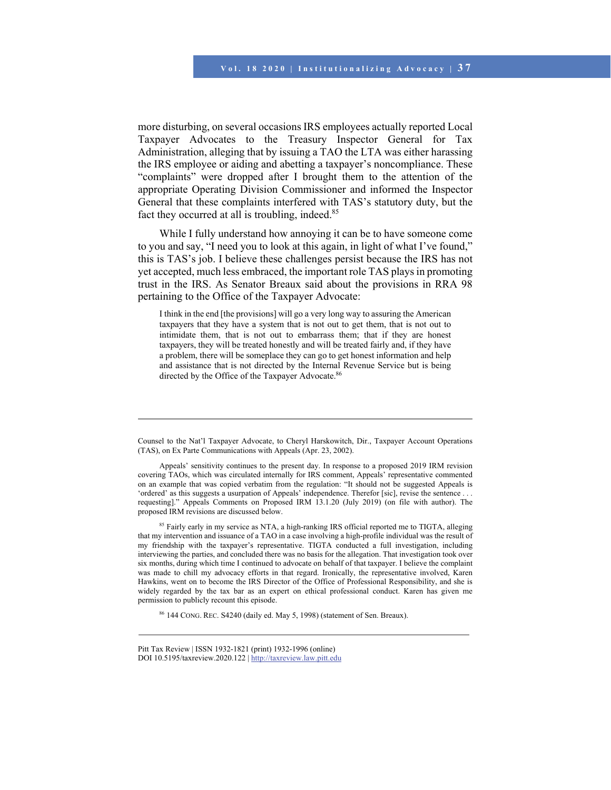more disturbing, on several occasions IRS employees actually reported Local Taxpayer Advocates to the Treasury Inspector General for Tax Administration, alleging that by issuing a TAO the LTA was either harassing the IRS employee or aiding and abetting a taxpayer's noncompliance. These "complaints" were dropped after I brought them to the attention of the appropriate Operating Division Commissioner and informed the Inspector General that these complaints interfered with TAS's statutory duty, but the fact they occurred at all is troubling, indeed.<sup>85</sup>

While I fully understand how annoying it can be to have someone come to you and say, "I need you to look at this again, in light of what I've found," this is TAS's job. I believe these challenges persist because the IRS has not yet accepted, much less embraced, the important role TAS plays in promoting trust in the IRS. As Senator Breaux said about the provisions in RRA 98 pertaining to the Office of the Taxpayer Advocate:

I think in the end [the provisions] will go a very long way to assuring the American taxpayers that they have a system that is not out to get them, that is not out to intimidate them, that is not out to embarrass them; that if they are honest taxpayers, they will be treated honestly and will be treated fairly and, if they have a problem, there will be someplace they can go to get honest information and help and assistance that is not directed by the Internal Revenue Service but is being directed by the Office of the Taxpayer Advocate.<sup>86</sup>

<sup>85</sup> Fairly early in my service as NTA, a high-ranking IRS official reported me to TIGTA, alleging that my intervention and issuance of a TAO in a case involving a high-profile individual was the result of my friendship with the taxpayer's representative. TIGTA conducted a full investigation, including interviewing the parties, and concluded there was no basis for the allegation. That investigation took over six months, during which time I continued to advocate on behalf of that taxpayer. I believe the complaint was made to chill my advocacy efforts in that regard. Ironically, the representative involved, Karen Hawkins, went on to become the IRS Director of the Office of Professional Responsibility, and she is widely regarded by the tax bar as an expert on ethical professional conduct. Karen has given me permission to publicly recount this episode.

86 144 CONG. REC. S4240 (daily ed. May 5, 1998) (statement of Sen. Breaux).

Counsel to the Nat'l Taxpayer Advocate, to Cheryl Harskowitch, Dir., Taxpayer Account Operations (TAS), on Ex Parte Communications with Appeals (Apr. 23, 2002).

Appeals' sensitivity continues to the present day. In response to a proposed 2019 IRM revision covering TAOs, which was circulated internally for IRS comment, Appeals' representative commented on an example that was copied verbatim from the regulation: "It should not be suggested Appeals is 'ordered' as this suggests a usurpation of Appeals' independence. Therefor [sic], revise the sentence . . . requesting]." Appeals Comments on Proposed IRM 13.1.20 (July 2019) (on file with author). The proposed IRM revisions are discussed below.

Pitt Tax Review | ISSN 1932-1821 (print) 1932-1996 (online) DOI 10.5195/taxreview.2020.122 | http://taxreview.law.pitt.edu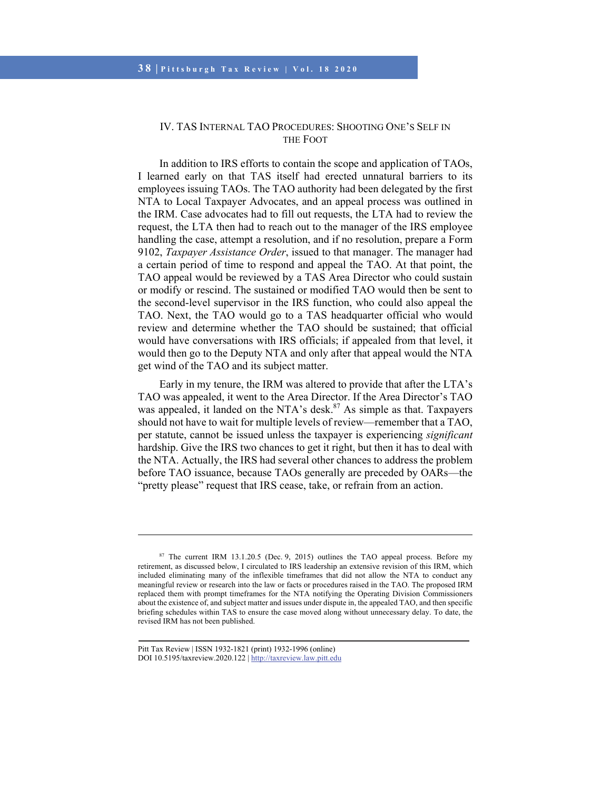## IV. TAS INTERNAL TAO PROCEDURES: SHOOTING ONE'S SELF IN THE FOOT

In addition to IRS efforts to contain the scope and application of TAOs, I learned early on that TAS itself had erected unnatural barriers to its employees issuing TAOs. The TAO authority had been delegated by the first NTA to Local Taxpayer Advocates, and an appeal process was outlined in the IRM. Case advocates had to fill out requests, the LTA had to review the request, the LTA then had to reach out to the manager of the IRS employee handling the case, attempt a resolution, and if no resolution, prepare a Form 9102, *Taxpayer Assistance Order*, issued to that manager. The manager had a certain period of time to respond and appeal the TAO. At that point, the TAO appeal would be reviewed by a TAS Area Director who could sustain or modify or rescind. The sustained or modified TAO would then be sent to the second-level supervisor in the IRS function, who could also appeal the TAO. Next, the TAO would go to a TAS headquarter official who would review and determine whether the TAO should be sustained; that official would have conversations with IRS officials; if appealed from that level, it would then go to the Deputy NTA and only after that appeal would the NTA get wind of the TAO and its subject matter.

Early in my tenure, the IRM was altered to provide that after the LTA's TAO was appealed, it went to the Area Director. If the Area Director's TAO was appealed, it landed on the NTA's desk. $87$  As simple as that. Taxpayers should not have to wait for multiple levels of review—remember that a TAO, per statute, cannot be issued unless the taxpayer is experiencing *significant* hardship. Give the IRS two chances to get it right, but then it has to deal with the NTA. Actually, the IRS had several other chances to address the problem before TAO issuance, because TAOs generally are preceded by OARs—the "pretty please" request that IRS cease, take, or refrain from an action.

 $\overline{\phantom{a}}$ 

<sup>87</sup> The current IRM 13.1.20.5 (Dec. 9, 2015) outlines the TAO appeal process. Before my retirement, as discussed below, I circulated to IRS leadership an extensive revision of this IRM, which included eliminating many of the inflexible timeframes that did not allow the NTA to conduct any meaningful review or research into the law or facts or procedures raised in the TAO. The proposed IRM replaced them with prompt timeframes for the NTA notifying the Operating Division Commissioners about the existence of, and subject matter and issues under dispute in, the appealed TAO, and then specific briefing schedules within TAS to ensure the case moved along without unnecessary delay. To date, the revised IRM has not been published.

Pitt Tax Review | ISSN 1932-1821 (print) 1932-1996 (online) DOI 10.5195/taxreview.2020.122 | http://taxreview.law.pitt.edu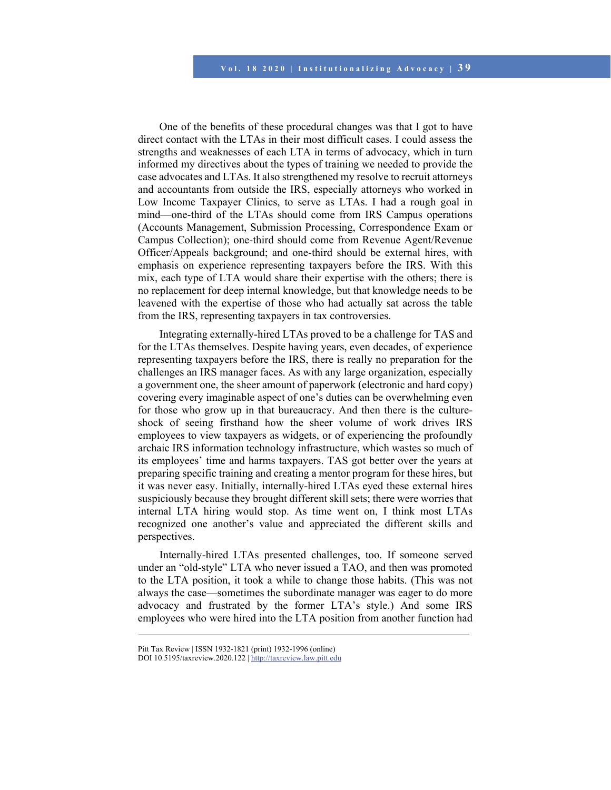One of the benefits of these procedural changes was that I got to have direct contact with the LTAs in their most difficult cases. I could assess the strengths and weaknesses of each LTA in terms of advocacy, which in turn informed my directives about the types of training we needed to provide the case advocates and LTAs. It also strengthened my resolve to recruit attorneys and accountants from outside the IRS, especially attorneys who worked in Low Income Taxpayer Clinics, to serve as LTAs. I had a rough goal in mind—one-third of the LTAs should come from IRS Campus operations (Accounts Management, Submission Processing, Correspondence Exam or Campus Collection); one-third should come from Revenue Agent/Revenue Officer/Appeals background; and one-third should be external hires, with emphasis on experience representing taxpayers before the IRS. With this mix, each type of LTA would share their expertise with the others; there is no replacement for deep internal knowledge, but that knowledge needs to be leavened with the expertise of those who had actually sat across the table from the IRS, representing taxpayers in tax controversies.

Integrating externally-hired LTAs proved to be a challenge for TAS and for the LTAs themselves. Despite having years, even decades, of experience representing taxpayers before the IRS, there is really no preparation for the challenges an IRS manager faces. As with any large organization, especially a government one, the sheer amount of paperwork (electronic and hard copy) covering every imaginable aspect of one's duties can be overwhelming even for those who grow up in that bureaucracy. And then there is the cultureshock of seeing firsthand how the sheer volume of work drives IRS employees to view taxpayers as widgets, or of experiencing the profoundly archaic IRS information technology infrastructure, which wastes so much of its employees' time and harms taxpayers. TAS got better over the years at preparing specific training and creating a mentor program for these hires, but it was never easy. Initially, internally-hired LTAs eyed these external hires suspiciously because they brought different skill sets; there were worries that internal LTA hiring would stop. As time went on, I think most LTAs recognized one another's value and appreciated the different skills and perspectives.

Internally-hired LTAs presented challenges, too. If someone served under an "old-style" LTA who never issued a TAO, and then was promoted to the LTA position, it took a while to change those habits. (This was not always the case—sometimes the subordinate manager was eager to do more advocacy and frustrated by the former LTA's style.) And some IRS employees who were hired into the LTA position from another function had

Pitt Tax Review | ISSN 1932-1821 (print) 1932-1996 (online)

DOI 10.5195/taxreview.2020.122 | http://taxreview.law.pitt.edu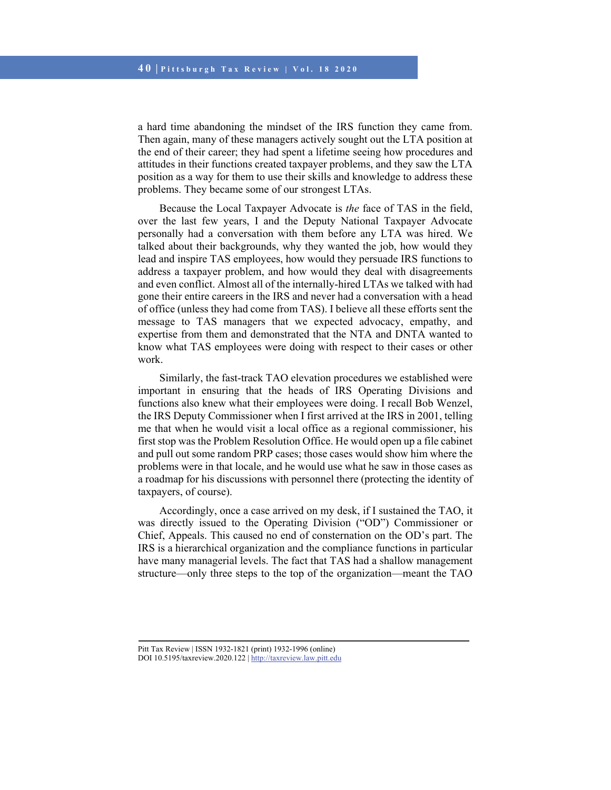a hard time abandoning the mindset of the IRS function they came from. Then again, many of these managers actively sought out the LTA position at the end of their career; they had spent a lifetime seeing how procedures and attitudes in their functions created taxpayer problems, and they saw the LTA position as a way for them to use their skills and knowledge to address these problems. They became some of our strongest LTAs.

Because the Local Taxpayer Advocate is *the* face of TAS in the field, over the last few years, I and the Deputy National Taxpayer Advocate personally had a conversation with them before any LTA was hired. We talked about their backgrounds, why they wanted the job, how would they lead and inspire TAS employees, how would they persuade IRS functions to address a taxpayer problem, and how would they deal with disagreements and even conflict. Almost all of the internally-hired LTAs we talked with had gone their entire careers in the IRS and never had a conversation with a head of office (unless they had come from TAS). I believe all these efforts sent the message to TAS managers that we expected advocacy, empathy, and expertise from them and demonstrated that the NTA and DNTA wanted to know what TAS employees were doing with respect to their cases or other work.

Similarly, the fast-track TAO elevation procedures we established were important in ensuring that the heads of IRS Operating Divisions and functions also knew what their employees were doing. I recall Bob Wenzel, the IRS Deputy Commissioner when I first arrived at the IRS in 2001, telling me that when he would visit a local office as a regional commissioner, his first stop was the Problem Resolution Office. He would open up a file cabinet and pull out some random PRP cases; those cases would show him where the problems were in that locale, and he would use what he saw in those cases as a roadmap for his discussions with personnel there (protecting the identity of taxpayers, of course).

Accordingly, once a case arrived on my desk, if I sustained the TAO, it was directly issued to the Operating Division ("OD") Commissioner or Chief, Appeals. This caused no end of consternation on the OD's part. The IRS is a hierarchical organization and the compliance functions in particular have many managerial levels. The fact that TAS had a shallow management structure—only three steps to the top of the organization—meant the TAO

DOI 10.5195/taxreview.2020.122 | http://taxreview.law.pitt.edu

Pitt Tax Review | ISSN 1932-1821 (print) 1932-1996 (online)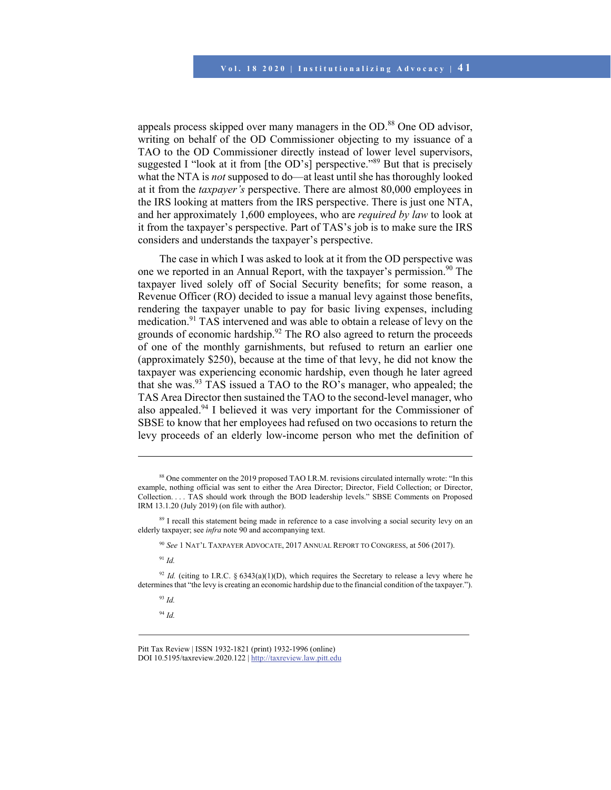appeals process skipped over many managers in the OD.<sup>88</sup> One OD advisor, writing on behalf of the OD Commissioner objecting to my issuance of a TAO to the OD Commissioner directly instead of lower level supervisors, suggested I "look at it from [the OD's] perspective."<sup>89</sup> But that is precisely what the NTA is *not* supposed to do—at least until she has thoroughly looked at it from the *taxpayer's* perspective. There are almost 80,000 employees in the IRS looking at matters from the IRS perspective. There is just one NTA, and her approximately 1,600 employees, who are *required by law* to look at it from the taxpayer's perspective. Part of TAS's job is to make sure the IRS considers and understands the taxpayer's perspective.

The case in which I was asked to look at it from the OD perspective was one we reported in an Annual Report, with the taxpayer's permission.<sup>90</sup> The taxpayer lived solely off of Social Security benefits; for some reason, a Revenue Officer (RO) decided to issue a manual levy against those benefits, rendering the taxpayer unable to pay for basic living expenses, including medication.<sup>91</sup> TAS intervened and was able to obtain a release of levy on the grounds of economic hardship.<sup>92</sup> The RO also agreed to return the proceeds of one of the monthly garnishments, but refused to return an earlier one (approximately \$250), because at the time of that levy, he did not know the taxpayer was experiencing economic hardship, even though he later agreed that she was.93 TAS issued a TAO to the RO's manager, who appealed; the TAS Area Director then sustained the TAO to the second-level manager, who also appealed.94 I believed it was very important for the Commissioner of SBSE to know that her employees had refused on two occasions to return the levy proceeds of an elderly low-income person who met the definition of

<sup>91</sup> *Id.*

l

 $92$  *Id.* (citing to I.R.C. § 6343(a)(1)(D), which requires the Secretary to release a levy where he determines that "the levy is creating an economic hardship due to the financial condition of the taxpayer.").

<sup>93</sup> *Id.*

<sup>94</sup> *Id.*

<sup>88</sup> One commenter on the 2019 proposed TAO I.R.M. revisions circulated internally wrote: "In this example, nothing official was sent to either the Area Director; Director, Field Collection; or Director, Collection. . . . TAS should work through the BOD leadership levels." SBSE Comments on Proposed IRM 13.1.20 (July 2019) (on file with author).

<sup>&</sup>lt;sup>89</sup> I recall this statement being made in reference to a case involving a social security levy on an elderly taxpayer; see *infra* note 90 and accompanying text.

<sup>90</sup> *See* 1 NAT'L TAXPAYER ADVOCATE, 2017 ANNUAL REPORT TO CONGRESS, at 506 (2017).

Pitt Tax Review | ISSN 1932-1821 (print) 1932-1996 (online) DOI 10.5195/taxreview.2020.122 | http://taxreview.law.pitt.edu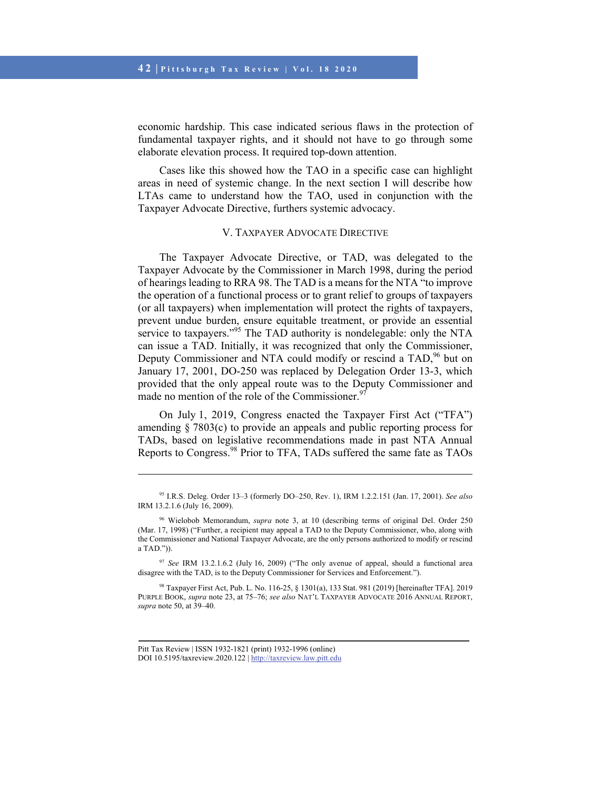economic hardship. This case indicated serious flaws in the protection of fundamental taxpayer rights, and it should not have to go through some elaborate elevation process. It required top-down attention.

Cases like this showed how the TAO in a specific case can highlight areas in need of systemic change. In the next section I will describe how LTAs came to understand how the TAO, used in conjunction with the Taxpayer Advocate Directive, furthers systemic advocacy.

### V. TAXPAYER ADVOCATE DIRECTIVE

The Taxpayer Advocate Directive, or TAD, was delegated to the Taxpayer Advocate by the Commissioner in March 1998, during the period of hearings leading to RRA 98. The TAD is a means for the NTA "to improve the operation of a functional process or to grant relief to groups of taxpayers (or all taxpayers) when implementation will protect the rights of taxpayers, prevent undue burden, ensure equitable treatment, or provide an essential service to taxpayers."<sup>95</sup> The TAD authority is nondelegable: only the NTA can issue a TAD. Initially, it was recognized that only the Commissioner, Deputy Commissioner and NTA could modify or rescind a TAD,<sup>96</sup> but on January 17, 2001, DO-250 was replaced by Delegation Order 13-3, which provided that the only appeal route was to the Deputy Commissioner and made no mention of the role of the Commissioner.<sup>9</sup>

On July 1, 2019, Congress enacted the Taxpayer First Act ("TFA") amending § 7803(c) to provide an appeals and public reporting process for TADs, based on legislative recommendations made in past NTA Annual Reports to Congress.<sup>98</sup> Prior to TFA, TADs suffered the same fate as TAOs

<sup>95</sup> I.R.S. Deleg. Order 13–3 (formerly DO–250, Rev. 1), IRM 1.2.2.151 (Jan. 17, 2001). *See also* IRM 13.2.1.6 (July 16, 2009).

<sup>96</sup> Wielobob Memorandum, *supra* note 3, at 10 (describing terms of original Del. Order 250 (Mar. 17, 1998) ("Further, a recipient may appeal a TAD to the Deputy Commissioner, who, along with the Commissioner and National Taxpayer Advocate, are the only persons authorized to modify or rescind a TAD.")).

<sup>97</sup> *See* IRM 13.2.1.6.2 (July 16, 2009) ("The only avenue of appeal, should a functional area disagree with the TAD, is to the Deputy Commissioner for Services and Enforcement.").

<sup>98</sup> Taxpayer First Act, Pub. L. No. 116-25, § 1301(a), 133 Stat. 981 (2019) [hereinafter TFA]. 2019 PURPLE BOOK, *supra* note 23, at 75–76; *see also* NAT'L TAXPAYER ADVOCATE 2016 ANNUAL REPORT, *supra* note 50, at 39–40.

Pitt Tax Review | ISSN 1932-1821 (print) 1932-1996 (online) DOI 10.5195/taxreview.2020.122 | http://taxreview.law.pitt.edu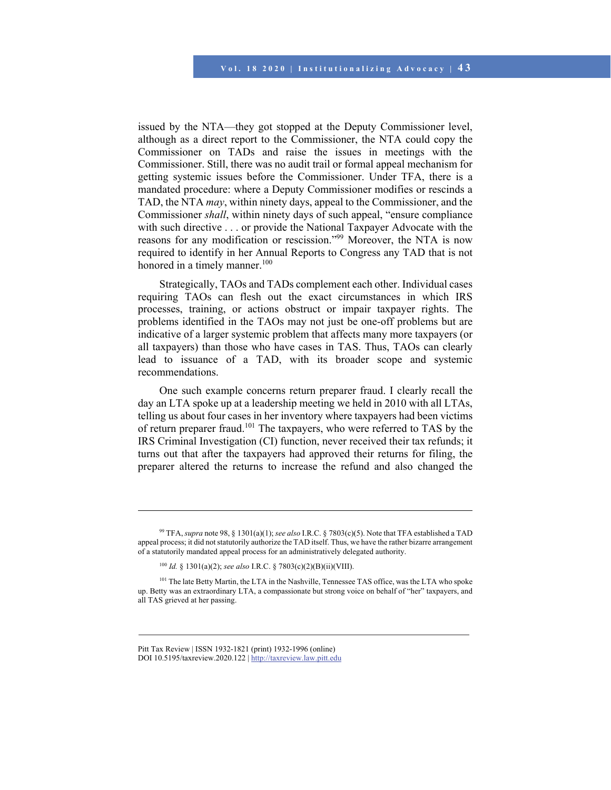issued by the NTA—they got stopped at the Deputy Commissioner level, although as a direct report to the Commissioner, the NTA could copy the Commissioner on TADs and raise the issues in meetings with the Commissioner. Still, there was no audit trail or formal appeal mechanism for getting systemic issues before the Commissioner. Under TFA, there is a mandated procedure: where a Deputy Commissioner modifies or rescinds a TAD, the NTA *may*, within ninety days, appeal to the Commissioner, and the Commissioner *shall*, within ninety days of such appeal, "ensure compliance with such directive . . . or provide the National Taxpayer Advocate with the reasons for any modification or rescission."99 Moreover, the NTA is now required to identify in her Annual Reports to Congress any TAD that is not honored in a timely manner.<sup>100</sup>

Strategically, TAOs and TADs complement each other. Individual cases requiring TAOs can flesh out the exact circumstances in which IRS processes, training, or actions obstruct or impair taxpayer rights. The problems identified in the TAOs may not just be one-off problems but are indicative of a larger systemic problem that affects many more taxpayers (or all taxpayers) than those who have cases in TAS. Thus, TAOs can clearly lead to issuance of a TAD, with its broader scope and systemic recommendations.

One such example concerns return preparer fraud. I clearly recall the day an LTA spoke up at a leadership meeting we held in 2010 with all LTAs, telling us about four cases in her inventory where taxpayers had been victims of return preparer fraud.<sup>101</sup> The taxpayers, who were referred to TAS by the IRS Criminal Investigation (CI) function, never received their tax refunds; it turns out that after the taxpayers had approved their returns for filing, the preparer altered the returns to increase the refund and also changed the

 $\overline{\phantom{a}}$ 

<sup>99</sup> TFA, *supra* note 98, § 1301(a)(1); *see also* I.R.C. § 7803(c)(5). Note that TFA established a TAD appeal process; it did not statutorily authorize the TAD itself. Thus, we have the rather bizarre arrangement of a statutorily mandated appeal process for an administratively delegated authority.

<sup>100</sup> *Id.* § 1301(a)(2); *see also* I.R.C. § 7803(c)(2)(B)(ii)(VIII).

<sup>&</sup>lt;sup>101</sup> The late Betty Martin, the LTA in the Nashville, Tennessee TAS office, was the LTA who spoke up. Betty was an extraordinary LTA, a compassionate but strong voice on behalf of "her" taxpayers, and all TAS grieved at her passing.

Pitt Tax Review | ISSN 1932-1821 (print) 1932-1996 (online) DOI 10.5195/taxreview.2020.122 | http://taxreview.law.pitt.edu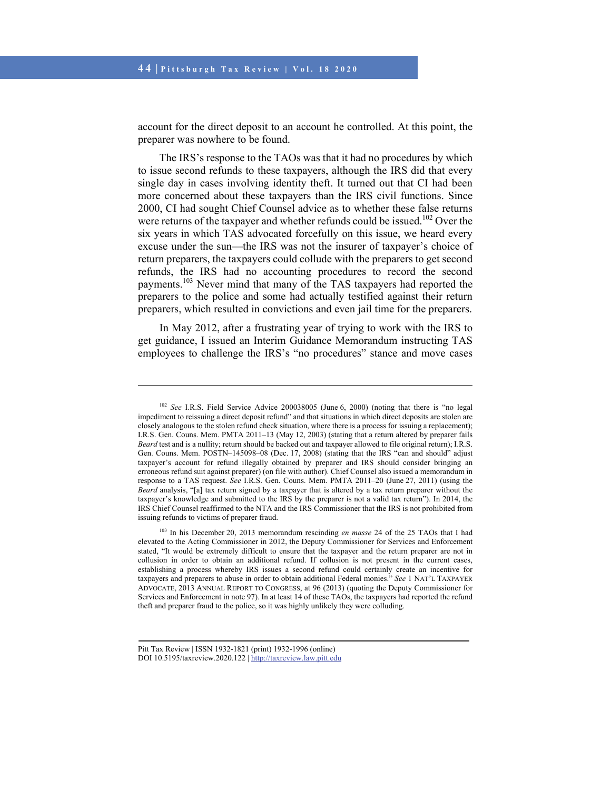account for the direct deposit to an account he controlled. At this point, the preparer was nowhere to be found.

The IRS's response to the TAOs was that it had no procedures by which to issue second refunds to these taxpayers, although the IRS did that every single day in cases involving identity theft. It turned out that CI had been more concerned about these taxpayers than the IRS civil functions. Since 2000, CI had sought Chief Counsel advice as to whether these false returns were returns of the taxpayer and whether refunds could be issued.<sup>102</sup> Over the six years in which TAS advocated forcefully on this issue, we heard every excuse under the sun—the IRS was not the insurer of taxpayer's choice of return preparers, the taxpayers could collude with the preparers to get second refunds, the IRS had no accounting procedures to record the second payments.103 Never mind that many of the TAS taxpayers had reported the preparers to the police and some had actually testified against their return preparers, which resulted in convictions and even jail time for the preparers.

In May 2012, after a frustrating year of trying to work with the IRS to get guidance, I issued an Interim Guidance Memorandum instructing TAS employees to challenge the IRS's "no procedures" stance and move cases

 $\overline{\phantom{a}}$ 

<sup>102</sup> *See* I.R.S. Field Service Advice 200038005 (June 6, 2000) (noting that there is "no legal impediment to reissuing a direct deposit refund" and that situations in which direct deposits are stolen are closely analogous to the stolen refund check situation, where there is a process for issuing a replacement); I.R.S. Gen. Couns. Mem. PMTA 2011*–*13 (May 12, 2003) (stating that a return altered by preparer fails *Beard* test and is a nullity; return should be backed out and taxpayer allowed to file original return); I.R.S. Gen. Couns. Mem. POSTN–145098–08 (Dec. 17, 2008) (stating that the IRS "can and should" adjust taxpayer's account for refund illegally obtained by preparer and IRS should consider bringing an erroneous refund suit against preparer) (on file with author). Chief Counsel also issued a memorandum in response to a TAS request. *See* I.R.S. Gen. Couns. Mem. PMTA 2011*–*20 (June 27, 2011) (using the *Beard* analysis, "[a] tax return signed by a taxpayer that is altered by a tax return preparer without the taxpayer's knowledge and submitted to the IRS by the preparer is not a valid tax return"). In 2014, the IRS Chief Counsel reaffirmed to the NTA and the IRS Commissioner that the IRS is not prohibited from issuing refunds to victims of preparer fraud.

<sup>103</sup> In his December 20, 2013 memorandum rescinding *en masse* 24 of the 25 TAOs that I had elevated to the Acting Commissioner in 2012, the Deputy Commissioner for Services and Enforcement stated, "It would be extremely difficult to ensure that the taxpayer and the return preparer are not in collusion in order to obtain an additional refund. If collusion is not present in the current cases, establishing a process whereby IRS issues a second refund could certainly create an incentive for taxpayers and preparers to abuse in order to obtain additional Federal monies." *See* 1 NAT'L TAXPAYER ADVOCATE, 2013 ANNUAL REPORT TO CONGRESS, at 96 (2013) (quoting the Deputy Commissioner for Services and Enforcement in note 97). In at least 14 of these TAOs, the taxpayers had reported the refund theft and preparer fraud to the police, so it was highly unlikely they were colluding.

Pitt Tax Review | ISSN 1932-1821 (print) 1932-1996 (online) DOI 10.5195/taxreview.2020.122 | http://taxreview.law.pitt.edu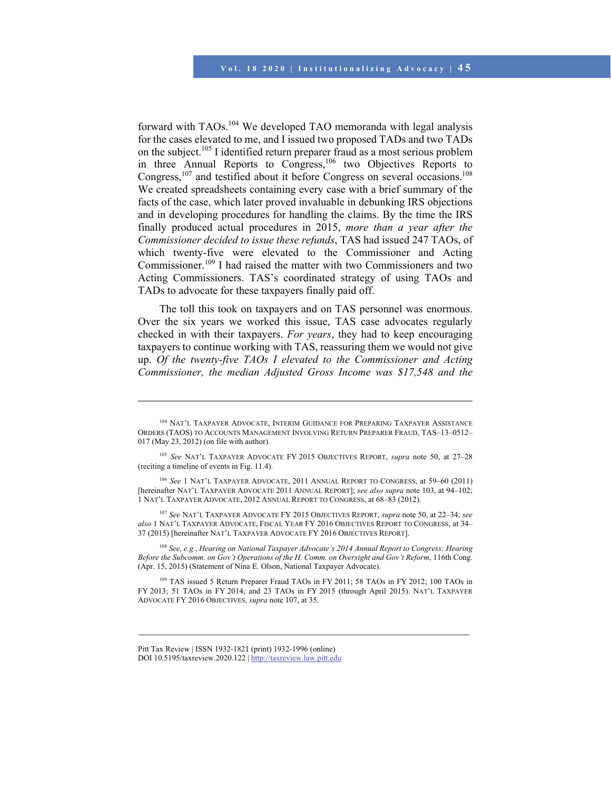forward with TAOs.104 We developed TAO memoranda with legal analysis for the cases elevated to me, and I issued two proposed TADs and two TADs on the subject.<sup>105</sup> I identified return preparer fraud as a most serious problem in three Annual Reports to Congress,<sup>106</sup> two Objectives Reports to Congress,<sup>107</sup> and testified about it before Congress on several occasions.<sup>108</sup> We created spreadsheets containing every case with a brief summary of the facts of the case, which later proved invaluable in debunking IRS objections and in developing procedures for handling the claims. By the time the IRS finally produced actual procedures in 2015, *more than a year after the Commissioner decided to issue these refunds*, TAS had issued 247 TAOs, of which twenty-five were elevated to the Commissioner and Acting Commissioner.109 I had raised the matter with two Commissioners and two Acting Commissioners. TAS's coordinated strategy of using TAOs and TADs to advocate for these taxpayers finally paid off.

The toll this took on taxpayers and on TAS personnel was enormous. Over the six years we worked this issue, TAS case advocates regularly checked in with their taxpayers. *For years*, they had to keep encouraging taxpayers to continue working with TAS, reassuring them we would not give up. *Of the twenty-five TAOs I elevated to the Commissioner and Acting Commissioner, the median Adjusted Gross Income was \$17,548 and the* 

<sup>107</sup> *See* NAT'L TAXPAYER ADVOCATE FY 2015 OBJECTIVES REPORT, *supra* note 50, at 22–34; *see also* 1 NAT'L TAXPAYER ADVOCATE, FISCAL YEAR FY 2016 OBJECTIVES REPORT TO CONGRESS, at 34– 37 (2015) [hereinafter NAT'L TAXPAYER ADVOCATE FY 2016 OBJECTIVES REPORT].

<sup>108</sup> *See, e.g.*, *Hearing on National Taxpayer Advocate's 2014 Annual Report to Congress: Hearing Before the Subcomm. on Gov't Operations of the H. Comm. on Oversight and Gov't Reform*, 116th Cong. (Apr. 15, 2015) (Statement of Nina E. Olson, National Taxpayer Advocate).

109 TAS issued 5 Return Preparer Fraud TAOs in FY 2011; 58 TAOs in FY 2012; 100 TAOs in FY 2013; 51 TAOs in FY 2014; and 23 TAOs in FY 2015 (through April 2015). NAT'L TAXPAYER ADVOCATE FY 2016 OBJECTIVES, *supra* note 107, at 35.

<sup>104</sup> NAT'L TAXPAYER ADVOCATE, INTERIM GUIDANCE FOR PREPARING TAXPAYER ASSISTANCE ORDERS (TAOS) TO ACCOUNTS MANAGEMENT INVOLVING RETURN PREPARER FRAUD, TAS–13–0512– 017 (May 23, 2012) (on file with author).

<sup>105</sup> *See* NAT'L TAXPAYER ADVOCATE FY 2015 OBJECTIVES REPORT, *supra* note 50, at 27–28 (reciting a timeline of events in Fig. 11.4).

<sup>106</sup> *See* 1 NAT'L TAXPAYER ADVOCATE, 2011 ANNUAL REPORT TO CONGRESS, at 59–60 (2011) [hereinafter NAT'L TAXPAYER ADVOCATE 2011 ANNUAL REPORT]; *see also supra* note 103, at 94–102; 1 NAT'L TAXPAYER ADVOCATE, 2012 ANNUAL REPORT TO CONGRESS, at 68–83 (2012).

Pitt Tax Review | ISSN 1932-1821 (print) 1932-1996 (online) DOI 10.5195/taxreview.2020.122 | http://taxreview.law.pitt.edu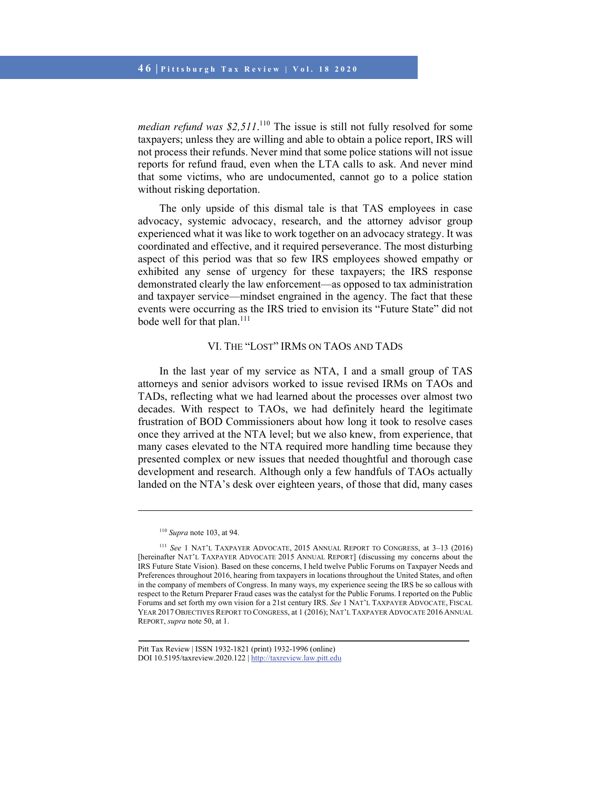median refund was \$2,511.<sup>110</sup> The issue is still not fully resolved for some taxpayers; unless they are willing and able to obtain a police report, IRS will not process their refunds. Never mind that some police stations will not issue reports for refund fraud, even when the LTA calls to ask. And never mind that some victims, who are undocumented, cannot go to a police station without risking deportation.

The only upside of this dismal tale is that TAS employees in case advocacy, systemic advocacy, research, and the attorney advisor group experienced what it was like to work together on an advocacy strategy. It was coordinated and effective, and it required perseverance. The most disturbing aspect of this period was that so few IRS employees showed empathy or exhibited any sense of urgency for these taxpayers; the IRS response demonstrated clearly the law enforcement—as opposed to tax administration and taxpayer service—mindset engrained in the agency. The fact that these events were occurring as the IRS tried to envision its "Future State" did not bode well for that plan.<sup>111</sup>

### VI. THE "LOST" IRMS ON TAOS AND TADS

In the last year of my service as NTA, I and a small group of TAS attorneys and senior advisors worked to issue revised IRMs on TAOs and TADs, reflecting what we had learned about the processes over almost two decades. With respect to TAOs, we had definitely heard the legitimate frustration of BOD Commissioners about how long it took to resolve cases once they arrived at the NTA level; but we also knew, from experience, that many cases elevated to the NTA required more handling time because they presented complex or new issues that needed thoughtful and thorough case development and research. Although only a few handfuls of TAOs actually landed on the NTA's desk over eighteen years, of those that did, many cases

<sup>110</sup> *Supra* note 103, at 94.

<sup>111</sup> *See* 1 NAT'L TAXPAYER ADVOCATE, 2015 ANNUAL REPORT TO CONGRESS, at 3–13 (2016) [hereinafter NAT'L TAXPAYER ADVOCATE 2015 ANNUAL REPORT] (discussing my concerns about the IRS Future State Vision). Based on these concerns, I held twelve Public Forums on Taxpayer Needs and Preferences throughout 2016, hearing from taxpayers in locations throughout the United States, and often in the company of members of Congress. In many ways, my experience seeing the IRS be so callous with respect to the Return Preparer Fraud cases was the catalyst for the Public Forums. I reported on the Public Forums and set forth my own vision for a 21st century IRS. *See* 1 NAT'L TAXPAYER ADVOCATE, FISCAL YEAR 2017 OBJECTIVES REPORT TO CONGRESS, at 1 (2016); NAT'L TAXPAYER ADVOCATE 2016 ANNUAL REPORT, *supra* note 50, at 1.

Pitt Tax Review | ISSN 1932-1821 (print) 1932-1996 (online) DOI 10.5195/taxreview.2020.122 | http://taxreview.law.pitt.edu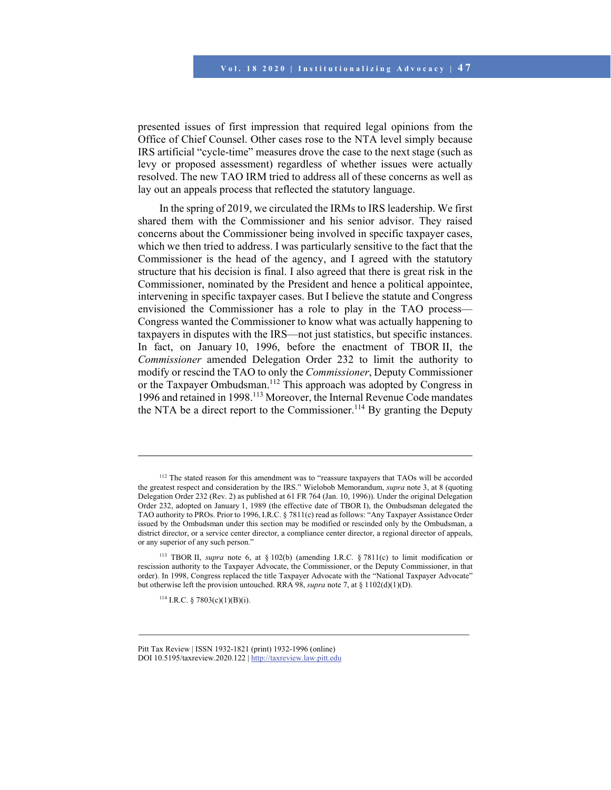presented issues of first impression that required legal opinions from the Office of Chief Counsel. Other cases rose to the NTA level simply because IRS artificial "cycle-time" measures drove the case to the next stage (such as levy or proposed assessment) regardless of whether issues were actually resolved. The new TAO IRM tried to address all of these concerns as well as lay out an appeals process that reflected the statutory language.

In the spring of 2019, we circulated the IRMs to IRS leadership. We first shared them with the Commissioner and his senior advisor. They raised concerns about the Commissioner being involved in specific taxpayer cases, which we then tried to address. I was particularly sensitive to the fact that the Commissioner is the head of the agency, and I agreed with the statutory structure that his decision is final. I also agreed that there is great risk in the Commissioner, nominated by the President and hence a political appointee, intervening in specific taxpayer cases. But I believe the statute and Congress envisioned the Commissioner has a role to play in the TAO process— Congress wanted the Commissioner to know what was actually happening to taxpayers in disputes with the IRS—not just statistics, but specific instances. In fact, on January 10, 1996, before the enactment of TBOR II, the *Commissioner* amended Delegation Order 232 to limit the authority to modify or rescind the TAO to only the *Commissioner*, Deputy Commissioner or the Taxpayer Ombudsman.112 This approach was adopted by Congress in 1996 and retained in 1998.113 Moreover, the Internal Revenue Code mandates the NTA be a direct report to the Commissioner.<sup>114</sup> By granting the Deputy

 $114$  I.R.C. § 7803(c)(1)(B)(i).

l

Pitt Tax Review | ISSN 1932-1821 (print) 1932-1996 (online) DOI 10.5195/taxreview.2020.122 | http://taxreview.law.pitt.edu

<sup>&</sup>lt;sup>112</sup> The stated reason for this amendment was to "reassure taxpayers that TAOs will be accorded the greatest respect and consideration by the IRS." Wielobob Memorandum, *supra* note 3, at 8 (quoting Delegation Order 232 (Rev. 2) as published at 61 FR 764 (Jan. 10, 1996)). Under the original Delegation Order 232, adopted on January 1, 1989 (the effective date of TBOR I), the Ombudsman delegated the TAO authority to PROs. Prior to 1996, I.R.C. § 7811(c) read as follows: "Any Taxpayer Assistance Order issued by the Ombudsman under this section may be modified or rescinded only by the Ombudsman, a district director, or a service center director, a compliance center director, a regional director of appeals, or any superior of any such person."

<sup>113</sup> TBOR II, *supra* note 6, at § 102(b) (amending I.R.C. § 7811(c) to limit modification or rescission authority to the Taxpayer Advocate, the Commissioner, or the Deputy Commissioner, in that order). In 1998, Congress replaced the title Taxpayer Advocate with the "National Taxpayer Advocate" but otherwise left the provision untouched. RRA 98, *supra* note 7, at § 1102(d)(1)(D).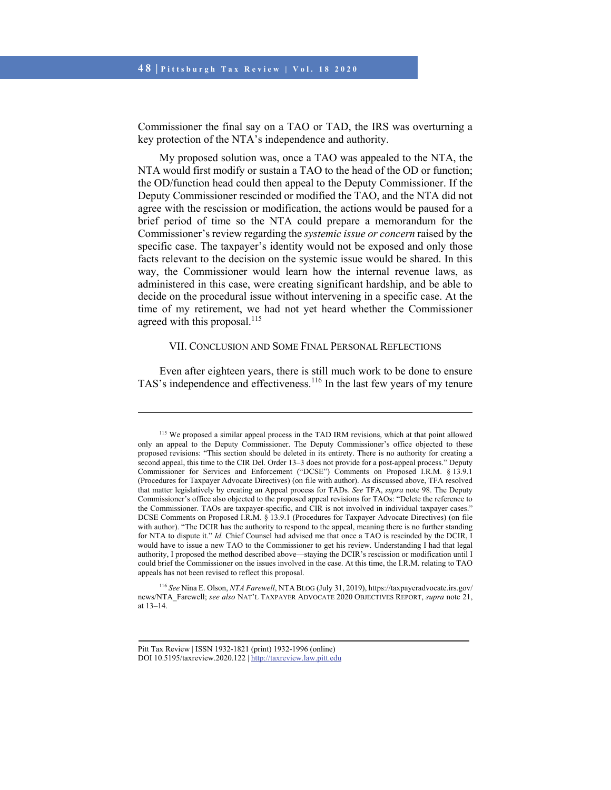Commissioner the final say on a TAO or TAD, the IRS was overturning a key protection of the NTA's independence and authority.

My proposed solution was, once a TAO was appealed to the NTA, the NTA would first modify or sustain a TAO to the head of the OD or function; the OD/function head could then appeal to the Deputy Commissioner. If the Deputy Commissioner rescinded or modified the TAO, and the NTA did not agree with the rescission or modification, the actions would be paused for a brief period of time so the NTA could prepare a memorandum for the Commissioner's review regarding the *systemic issue or concern* raised by the specific case. The taxpayer's identity would not be exposed and only those facts relevant to the decision on the systemic issue would be shared. In this way, the Commissioner would learn how the internal revenue laws, as administered in this case, were creating significant hardship, and be able to decide on the procedural issue without intervening in a specific case. At the time of my retirement, we had not yet heard whether the Commissioner agreed with this proposal. $^{115}$ 

#### VII. CONCLUSION AND SOME FINAL PERSONAL REFLECTIONS

Even after eighteen years, there is still much work to be done to ensure TAS's independence and effectiveness.<sup>116</sup> In the last few years of my tenure

<sup>&</sup>lt;sup>115</sup> We proposed a similar appeal process in the TAD IRM revisions, which at that point allowed only an appeal to the Deputy Commissioner. The Deputy Commissioner's office objected to these proposed revisions: "This section should be deleted in its entirety. There is no authority for creating a second appeal, this time to the CIR Del. Order 13–3 does not provide for a post-appeal process." Deputy Commissioner for Services and Enforcement ("DCSE") Comments on Proposed I.R.M. § 13.9.1 (Procedures for Taxpayer Advocate Directives) (on file with author). As discussed above, TFA resolved that matter legislatively by creating an Appeal process for TADs. *See* TFA, *supra* note 98. The Deputy Commissioner's office also objected to the proposed appeal revisions for TAOs: "Delete the reference to the Commissioner. TAOs are taxpayer-specific, and CIR is not involved in individual taxpayer cases." DCSE Comments on Proposed I.R.M. § 13.9.1 (Procedures for Taxpayer Advocate Directives) (on file with author). "The DCIR has the authority to respond to the appeal, meaning there is no further standing for NTA to dispute it." *Id.* Chief Counsel had advised me that once a TAO is rescinded by the DCIR, I would have to issue a new TAO to the Commissioner to get his review. Understanding I had that legal authority, I proposed the method described above—staying the DCIR's rescission or modification until I could brief the Commissioner on the issues involved in the case. At this time, the I.R.M. relating to TAO appeals has not been revised to reflect this proposal.

<sup>116</sup> *See* Nina E. Olson, *NTA Farewell*, NTA BLOG (July 31, 2019), https://taxpayeradvocate.irs.gov/ news/NTA\_Farewell; *see also* NAT'L TAXPAYER ADVOCATE 2020 OBJECTIVES REPORT, *supra* note 21, at 13–14.

Pitt Tax Review | ISSN 1932-1821 (print) 1932-1996 (online) DOI 10.5195/taxreview.2020.122 | http://taxreview.law.pitt.edu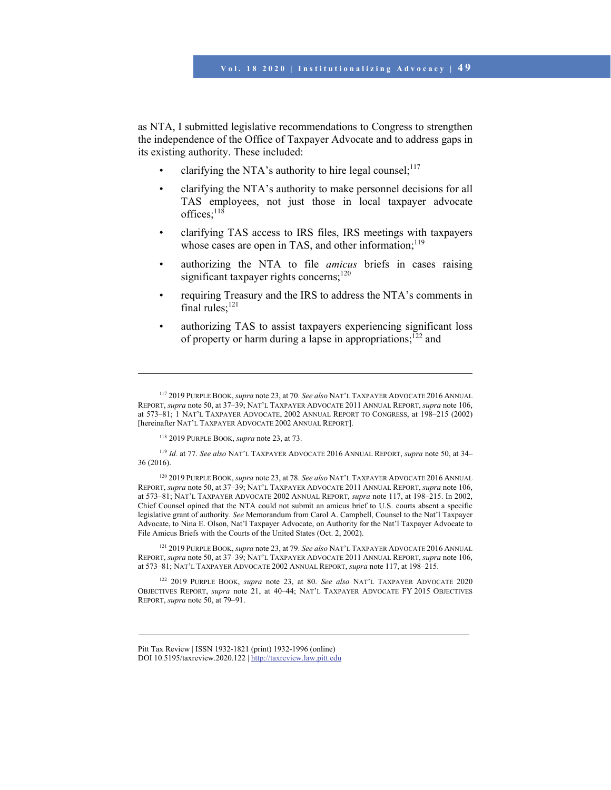as NTA, I submitted legislative recommendations to Congress to strengthen the independence of the Office of Taxpayer Advocate and to address gaps in its existing authority. These included:

- clarifying the NTA's authority to hire legal counsel;<sup>117</sup>
- clarifying the NTA's authority to make personnel decisions for all TAS employees, not just those in local taxpayer advocate offices: $118$
- clarifying TAS access to IRS files, IRS meetings with taxpayers whose cases are open in TAS, and other information; $119$
- authorizing the NTA to file *amicus* briefs in cases raising significant taxpayer rights concerns; $120$
- requiring Treasury and the IRS to address the NTA's comments in final rules:<sup>121</sup>
- authorizing TAS to assist taxpayers experiencing significant loss of property or harm during a lapse in appropriations;<sup>122</sup> and

118 2019 PURPLE BOOK, *supra* note 23, at 73.

 $\overline{\phantom{a}}$ 

<sup>119</sup> *Id.* at 77. *See also* NAT'L TAXPAYER ADVOCATE 2016 ANNUAL REPORT, *supra* note 50, at 34– 36 (2016).

120 2019 PURPLE BOOK, *supra* note 23, at 78. *See also* NAT'L TAXPAYER ADVOCATE 2016 ANNUAL REPORT, *supra* note 50, at 37–39; NAT'L TAXPAYER ADVOCATE 2011 ANNUAL REPORT, *supra* note 106, at 573–81; NAT'L TAXPAYER ADVOCATE 2002 ANNUAL REPORT, *supra* note 117, at 198–215. In 2002, Chief Counsel opined that the NTA could not submit an amicus brief to U.S. courts absent a specific legislative grant of authority. *See* Memorandum from Carol A. Campbell, Counsel to the Nat'l Taxpayer Advocate, to Nina E. Olson, Nat'l Taxpayer Advocate, on Authority for the Nat'l Taxpayer Advocate to File Amicus Briefs with the Courts of the United States (Oct. 2, 2002).

121 2019 PURPLE BOOK, *supra* note 23, at 79. *See also* NAT'L TAXPAYER ADVOCATE 2016 ANNUAL REPORT, *supra* note 50, at 37–39; NAT'L TAXPAYER ADVOCATE 2011 ANNUAL REPORT, *supra* note 106, at 573–81; NAT'L TAXPAYER ADVOCATE 2002 ANNUAL REPORT, *supra* note 117, at 198–215.

122 2019 PURPLE BOOK, *supra* note 23, at 80. *See also* NAT'L TAXPAYER ADVOCATE 2020 OBJECTIVES REPORT, *supra* note 21, at 40–44; NAT'L TAXPAYER ADVOCATE FY 2015 OBJECTIVES REPORT, *supra* note 50, at 79–91.

<sup>117 2019</sup> PURPLE BOOK, *supra* note 23, at 70. *See also* NAT'L TAXPAYER ADVOCATE 2016 ANNUAL REPORT, *supra* note 50, at 37–39; NAT'L TAXPAYER ADVOCATE 2011 ANNUAL REPORT, *supra* note 106, at 573–81; 1 NAT'L TAXPAYER ADVOCATE, 2002 ANNUAL REPORT TO CONGRESS, at 198–215 (2002) [hereinafter NAT'L TAXPAYER ADVOCATE 2002 ANNUAL REPORT].

Pitt Tax Review | ISSN 1932-1821 (print) 1932-1996 (online) DOI 10.5195/taxreview.2020.122 | http://taxreview.law.pitt.edu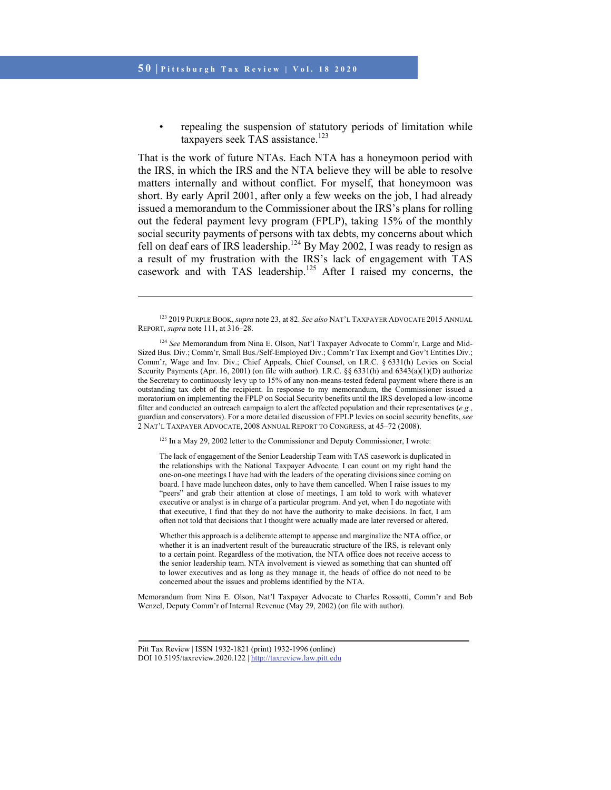l

repealing the suspension of statutory periods of limitation while taxpayers seek TAS assistance.<sup>123</sup>

That is the work of future NTAs. Each NTA has a honeymoon period with the IRS, in which the IRS and the NTA believe they will be able to resolve matters internally and without conflict. For myself, that honeymoon was short. By early April 2001, after only a few weeks on the job, I had already issued a memorandum to the Commissioner about the IRS's plans for rolling out the federal payment levy program (FPLP), taking 15% of the monthly social security payments of persons with tax debts, my concerns about which fell on deaf ears of IRS leadership.<sup>124</sup> By May 2002, I was ready to resign as a result of my frustration with the IRS's lack of engagement with TAS casework and with TAS leadership.<sup>125</sup> After I raised my concerns, the

<sup>125</sup> In a May 29, 2002 letter to the Commissioner and Deputy Commissioner, I wrote:

The lack of engagement of the Senior Leadership Team with TAS casework is duplicated in the relationships with the National Taxpayer Advocate. I can count on my right hand the one-on-one meetings I have had with the leaders of the operating divisions since coming on board. I have made luncheon dates, only to have them cancelled. When I raise issues to my "peers" and grab their attention at close of meetings, I am told to work with whatever executive or analyst is in charge of a particular program. And yet, when I do negotiate with that executive, I find that they do not have the authority to make decisions. In fact, I am often not told that decisions that I thought were actually made are later reversed or altered.

Whether this approach is a deliberate attempt to appease and marginalize the NTA office, or whether it is an inadvertent result of the bureaucratic structure of the IRS, is relevant only to a certain point. Regardless of the motivation, the NTA office does not receive access to the senior leadership team. NTA involvement is viewed as something that can shunted off to lower executives and as long as they manage it, the heads of office do not need to be concerned about the issues and problems identified by the NTA.

Memorandum from Nina E. Olson, Nat'l Taxpayer Advocate to Charles Rossotti, Comm'r and Bob Wenzel, Deputy Comm'r of Internal Revenue (May 29, 2002) (on file with author).

<sup>123 2019</sup> PURPLE BOOK, *supra* note 23, at 82. *See also* NAT'L TAXPAYER ADVOCATE 2015 ANNUAL REPORT, *supra* note 111, at 316–28.

<sup>124</sup> *See* Memorandum from Nina E. Olson, Nat'l Taxpayer Advocate to Comm'r, Large and Mid-Sized Bus. Div.; Comm'r, Small Bus./Self-Employed Div.; Comm'r Tax Exempt and Gov't Entities Div.; Comm'r, Wage and Inv. Div.; Chief Appeals, Chief Counsel, on I.R.C. § 6331(h) Levies on Social Security Payments (Apr. 16, 2001) (on file with author). I.R.C. §§ 6331(h) and 6343(a)(1)(D) authorize the Secretary to continuously levy up to 15% of any non-means-tested federal payment where there is an outstanding tax debt of the recipient. In response to my memorandum, the Commissioner issued a moratorium on implementing the FPLP on Social Security benefits until the IRS developed a low-income filter and conducted an outreach campaign to alert the affected population and their representatives (*e.g.*, guardian and conservators). For a more detailed discussion of FPLP levies on social security benefits, *see* 2 NAT'L TAXPAYER ADVOCATE, 2008 ANNUAL REPORT TO CONGRESS, at 45–72 (2008).

Pitt Tax Review | ISSN 1932-1821 (print) 1932-1996 (online) DOI 10.5195/taxreview.2020.122 | http://taxreview.law.pitt.edu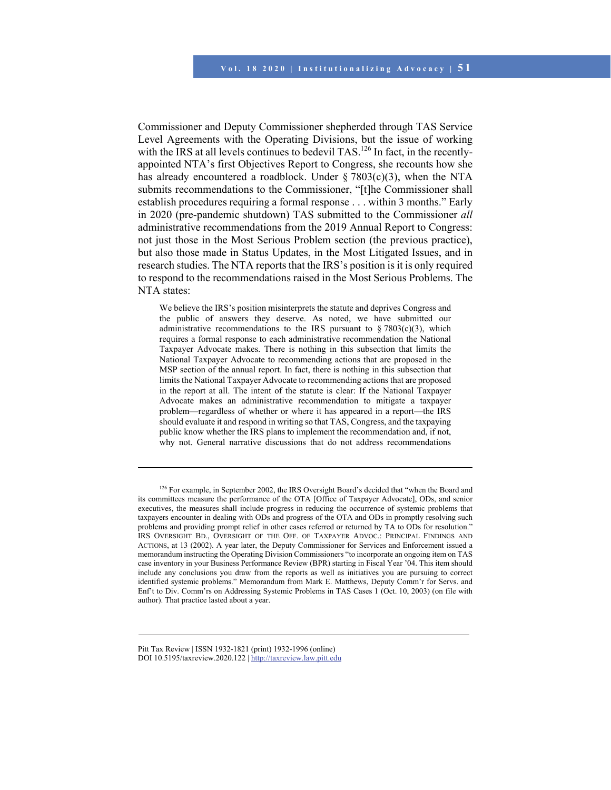Commissioner and Deputy Commissioner shepherded through TAS Service Level Agreements with the Operating Divisions, but the issue of working with the IRS at all levels continues to bedevil TAS.<sup>126</sup> In fact, in the recentlyappointed NTA's first Objectives Report to Congress, she recounts how she has already encountered a roadblock. Under  $\S 7803(c)(3)$ , when the NTA submits recommendations to the Commissioner, "[t]he Commissioner shall establish procedures requiring a formal response . . . within 3 months." Early in 2020 (pre-pandemic shutdown) TAS submitted to the Commissioner *all* administrative recommendations from the 2019 Annual Report to Congress: not just those in the Most Serious Problem section (the previous practice), but also those made in Status Updates, in the Most Litigated Issues, and in research studies. The NTA reports that the IRS's position is it is only required to respond to the recommendations raised in the Most Serious Problems. The NTA states:

We believe the IRS's position misinterprets the statute and deprives Congress and the public of answers they deserve. As noted, we have submitted our administrative recommendations to the IRS pursuant to  $\S 7803(c)(3)$ , which requires a formal response to each administrative recommendation the National Taxpayer Advocate makes. There is nothing in this subsection that limits the National Taxpayer Advocate to recommending actions that are proposed in the MSP section of the annual report. In fact, there is nothing in this subsection that limits the National Taxpayer Advocate to recommending actions that are proposed in the report at all. The intent of the statute is clear: If the National Taxpayer Advocate makes an administrative recommendation to mitigate a taxpayer problem—regardless of whether or where it has appeared in a report—the IRS should evaluate it and respond in writing so that TAS, Congress, and the taxpaying public know whether the IRS plans to implement the recommendation and, if not, why not. General narrative discussions that do not address recommendations

<sup>&</sup>lt;sup>126</sup> For example, in September 2002, the IRS Oversight Board's decided that "when the Board and its committees measure the performance of the OTA [Office of Taxpayer Advocate], ODs, and senior executives, the measures shall include progress in reducing the occurrence of systemic problems that taxpayers encounter in dealing with ODs and progress of the OTA and ODs in promptly resolving such problems and providing prompt relief in other cases referred or returned by TA to ODs for resolution." IRS OVERSIGHT BD., OVERSIGHT OF THE OFF. OF TAXPAYER ADVOC.: PRINCIPAL FINDINGS AND ACTIONS, at 13 (2002). A year later, the Deputy Commissioner for Services and Enforcement issued a memorandum instructing the Operating Division Commissioners "to incorporate an ongoing item on TAS case inventory in your Business Performance Review (BPR) starting in Fiscal Year '04. This item should include any conclusions you draw from the reports as well as initiatives you are pursuing to correct identified systemic problems." Memorandum from Mark E. Matthews, Deputy Comm'r for Servs. and Enf't to Div. Comm'rs on Addressing Systemic Problems in TAS Cases 1 (Oct. 10, 2003) (on file with author). That practice lasted about a year.

Pitt Tax Review | ISSN 1932-1821 (print) 1932-1996 (online) DOI 10.5195/taxreview.2020.122 | http://taxreview.law.pitt.edu